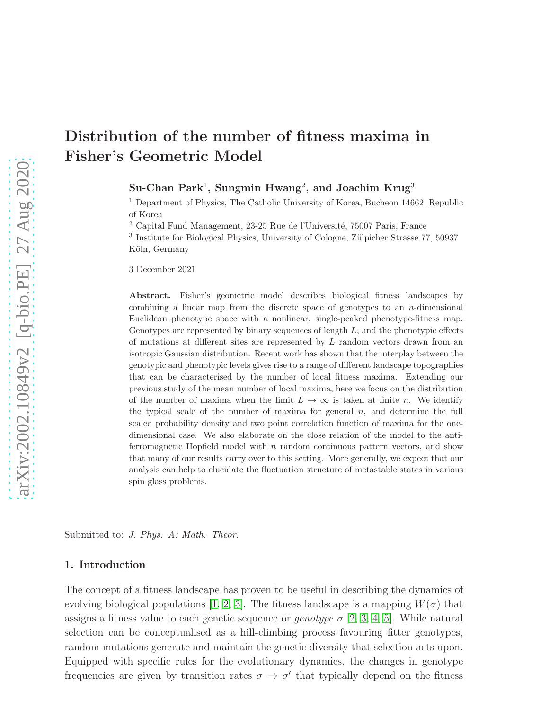# Distribution of the number of fitness maxima in Fisher's Geometric Model

 $\textsf{Su-Chan}$   $\textsf{Park}^1,$   $\textsf{Sungmin}$   $\textsf{Hwang}^2,$  and  $\textsf{Joachim}$   $\textsf{Krug}^3$ 

<sup>1</sup> Department of Physics, The Catholic University of Korea, Bucheon 14662, Republic of Korea

 $2$  Capital Fund Management, 23-25 Rue de l'Université, 75007 Paris, France

<sup>3</sup> Institute for Biological Physics, University of Cologne, Zülpicher Strasse 77, 50937 Köln, Germany

3 December 2021

Abstract. Fisher's geometric model describes biological fitness landscapes by combining a linear map from the discrete space of genotypes to an  $n$ -dimensional Euclidean phenotype space with a nonlinear, single-peaked phenotype-fitness map. Genotypes are represented by binary sequences of length  $L$ , and the phenotypic effects of mutations at different sites are represented by  $L$  random vectors drawn from an isotropic Gaussian distribution. Recent work has shown that the interplay between the genotypic and phenotypic levels gives rise to a range of different landscape topographies that can be characterised by the number of local fitness maxima. Extending our previous study of the mean number of local maxima, here we focus on the distribution of the number of maxima when the limit  $L \to \infty$  is taken at finite n. We identify the typical scale of the number of maxima for general  $n$ , and determine the full scaled probability density and two point correlation function of maxima for the onedimensional case. We also elaborate on the close relation of the model to the antiferromagnetic Hopfield model with  $n$  random continuous pattern vectors, and show that many of our results carry over to this setting. More generally, we expect that our analysis can help to elucidate the fluctuation structure of metastable states in various spin glass problems.

Submitted to: *J. Phys. A: Math. Theor.*

#### 1. Introduction

The concept of a fitness landscape has proven to be useful in describing the dynamics of evolving biological populations [\[1,](#page-32-0) [2,](#page-33-0) [3\]](#page-33-1). The fitness landscape is a mapping  $W(\sigma)$  that assigns a fitness value to each genetic sequence or *genotype*  $\sigma$  [\[2,](#page-33-0) [3,](#page-33-1) [4,](#page-33-2) [5\]](#page-33-3). While natural selection can be conceptualised as a hill-climbing process favouring fitter genotypes, random mutations generate and maintain the genetic diversity that selection acts upon. Equipped with specific rules for the evolutionary dynamics, the changes in genotype frequencies are given by transition rates  $\sigma \to \sigma'$  that typically depend on the fitness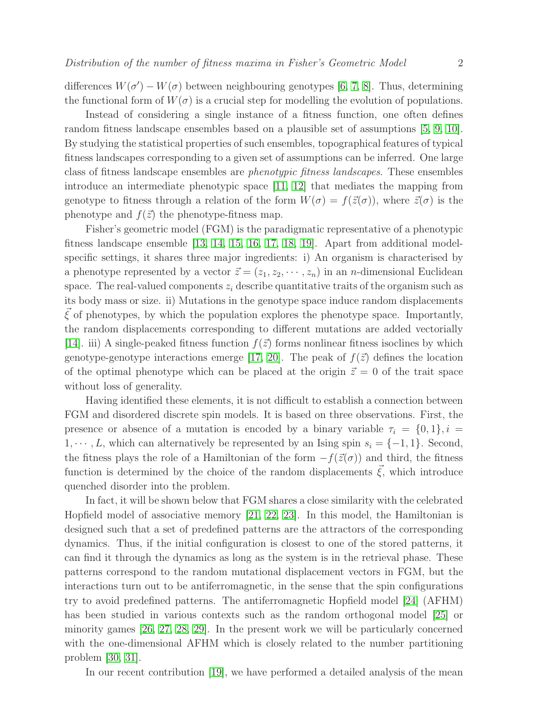differences  $W(\sigma') - W(\sigma)$  between neighbouring genotypes [\[6,](#page-33-4) [7,](#page-33-5) [8\]](#page-33-6). Thus, determining the functional form of  $W(\sigma)$  is a crucial step for modelling the evolution of populations.

Instead of considering a single instance of a fitness function, one often defines random fitness landscape ensembles based on a plausible set of assumptions [\[5,](#page-33-3) [9,](#page-33-7) [10\]](#page-33-8). By studying the statistical properties of such ensembles, topographical features of typical fitness landscapes corresponding to a given set of assumptions can be inferred. One large class of fitness landscape ensembles are phenotypic fitness landscapes. These ensembles introduce an intermediate phenotypic space [\[11,](#page-33-9) [12\]](#page-33-10) that mediates the mapping from genotype to fitness through a relation of the form  $W(\sigma) = f(\vec{z}(\sigma))$ , where  $\vec{z}(\sigma)$  is the phenotype and  $f(\vec{z})$  the phenotype-fitness map.

Fisher's geometric model (FGM) is the paradigmatic representative of a phenotypic fitness landscape ensemble [\[13,](#page-33-11) [14,](#page-33-12) [15,](#page-33-13) [16,](#page-33-14) [17,](#page-33-15) [18,](#page-33-16) [19\]](#page-33-17). Apart from additional modelspecific settings, it shares three major ingredients: i) An organism is characterised by a phenotype represented by a vector  $\vec{z} = (z_1, z_2, \dots, z_n)$  in an *n*-dimensional Euclidean space. The real-valued components  $z_i$  describe quantitative traits of the organism such as its body mass or size. ii) Mutations in the genotype space induce random displacements  $\vec{\xi}$  of phenotypes, by which the population explores the phenotype space. Importantly, the random displacements corresponding to different mutations are added vectorially [\[14\]](#page-33-12). iii) A single-peaked fitness function  $f(\vec{z})$  forms nonlinear fitness isoclines by which genotype-genotype interactions emerge [\[17,](#page-33-15) [20\]](#page-33-18). The peak of  $f(\vec{z})$  defines the location of the optimal phenotype which can be placed at the origin  $\vec{z} = 0$  of the trait space without loss of generality.

Having identified these elements, it is not difficult to establish a connection between FGM and disordered discrete spin models. It is based on three observations. First, the presence or absence of a mutation is encoded by a binary variable  $\tau_i = \{0, 1\}, i =$  $1, \dots, L$ , which can alternatively be represented by an Ising spin  $s_i = \{-1, 1\}$ . Second, the fitness plays the role of a Hamiltonian of the form  $-f(\vec{z}(\sigma))$  and third, the fitness function is determined by the choice of the random displacements  $\vec{\xi}$ , which introduce quenched disorder into the problem.

In fact, it will be shown below that FGM shares a close similarity with the celebrated Hopfield model of associative memory [\[21,](#page-33-19) [22,](#page-33-20) [23\]](#page-33-21). In this model, the Hamiltonian is designed such that a set of predefined patterns are the attractors of the corresponding dynamics. Thus, if the initial configuration is closest to one of the stored patterns, it can find it through the dynamics as long as the system is in the retrieval phase. These patterns correspond to the random mutational displacement vectors in FGM, but the interactions turn out to be antiferromagnetic, in the sense that the spin configurations try to avoid predefined patterns. The antiferromagnetic Hopfield model [\[24\]](#page-33-22) (AFHM) has been studied in various contexts such as the random orthogonal model [\[25\]](#page-33-23) or minority games [\[26,](#page-34-0) [27,](#page-34-1) [28,](#page-34-2) [29\]](#page-34-3). In the present work we will be particularly concerned with the one-dimensional AFHM which is closely related to the number partitioning problem [\[30,](#page-34-4) [31\]](#page-34-5).

In our recent contribution [\[19\]](#page-33-17), we have performed a detailed analysis of the mean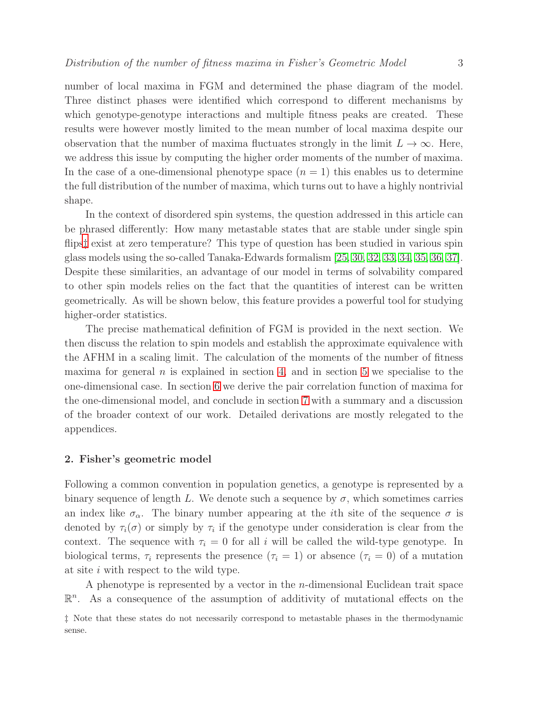number of local maxima in FGM and determined the phase diagram of the model. Three distinct phases were identified which correspond to different mechanisms by which genotype-genotype interactions and multiple fitness peaks are created. These results were however mostly limited to the mean number of local maxima despite our observation that the number of maxima fluctuates strongly in the limit  $L \to \infty$ . Here, we address this issue by computing the higher order moments of the number of maxima. In the case of a one-dimensional phenotype space  $(n = 1)$  this enables us to determine the full distribution of the number of maxima, which turns out to have a highly nontrivial shape.

In the context of disordered spin systems, the question addressed in this article can be phrased differently: How many metastable states that are stable under single spin flips<sup> $\ddagger$ </sup> exist at zero temperature? This type of question has been studied in various spin glass models using the so-called Tanaka-Edwards formalism [\[25,](#page-33-23) [30,](#page-34-4) [32,](#page-34-6) [33,](#page-34-7) [34,](#page-34-8) [35,](#page-34-9) [36,](#page-34-10) [37\]](#page-34-11). Despite these similarities, an advantage of our model in terms of solvability compared to other spin models relies on the fact that the quantities of interest can be written geometrically. As will be shown below, this feature provides a powerful tool for studying higher-order statistics.

The precise mathematical definition of FGM is provided in the next section. We then discuss the relation to spin models and establish the approximate equivalence with the AFHM in a scaling limit. The calculation of the moments of the number of fitness maxima for general  $n$  is explained in section [4,](#page-5-0) and in section [5](#page-7-0) we specialise to the one-dimensional case. In section [6](#page-13-0) we derive the pair correlation function of maxima for the one-dimensional model, and conclude in section [7](#page-15-0) with a summary and a discussion of the broader context of our work. Detailed derivations are mostly relegated to the appendices.

#### 2. Fisher's geometric model

Following a common convention in population genetics, a genotype is represented by a binary sequence of length L. We denote such a sequence by  $\sigma$ , which sometimes carries an index like  $\sigma_{\alpha}$ . The binary number appearing at the *i*th site of the sequence  $\sigma$  is denoted by  $\tau_i(\sigma)$  or simply by  $\tau_i$  if the genotype under consideration is clear from the context. The sequence with  $\tau_i = 0$  for all i will be called the wild-type genotype. In biological terms,  $\tau_i$  represents the presence  $(\tau_i = 1)$  or absence  $(\tau_i = 0)$  of a mutation at site i with respect to the wild type.

A phenotype is represented by a vector in the  $n$ -dimensional Euclidean trait space  $\mathbb{R}^n$ . As a consequence of the assumption of additivity of mutational effects on the

<span id="page-2-0"></span><sup>‡</sup> Note that these states do not necessarily correspond to metastable phases in the thermodynamic sense.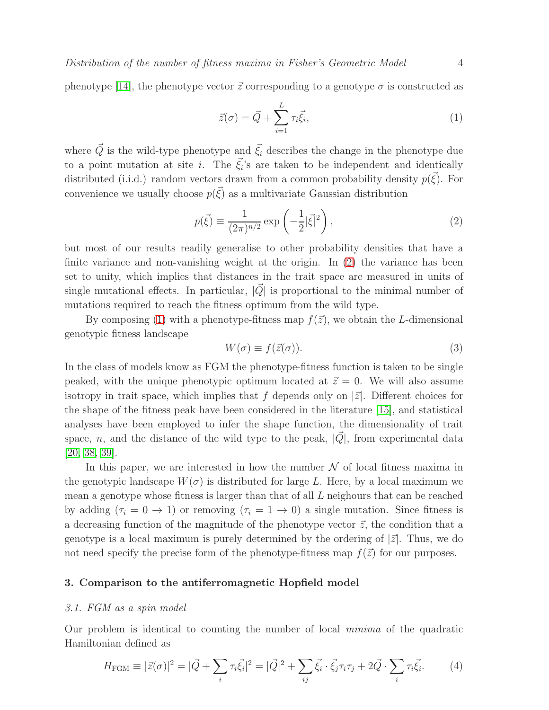phenotype [\[14\]](#page-33-12), the phenotype vector  $\vec{z}$  corresponding to a genotype  $\sigma$  is constructed as

<span id="page-3-1"></span><span id="page-3-0"></span>
$$
\vec{z}(\sigma) = \vec{Q} + \sum_{i=1}^{L} \tau_i \vec{\xi}_i, \tag{1}
$$

where  $\vec{Q}$  is the wild-type phenotype and  $\vec{\xi}_i$  describes the change in the phenotype due to a point mutation at site *i*. The  $\vec{\xi}_i$ 's are taken to be independent and identically distributed (i.i.d.) random vectors drawn from a common probability density  $p(\vec{\xi})$ . For convenience we usually choose  $p(\vec{\xi})$  as a multivariate Gaussian distribution

$$
p(\vec{\xi}) \equiv \frac{1}{(2\pi)^{n/2}} \exp\left(-\frac{1}{2}|\vec{\xi}|^2\right),\tag{2}
$$

but most of our results readily generalise to other probability densities that have a finite variance and non-vanishing weight at the origin. In [\(2\)](#page-3-0) the variance has been set to unity, which implies that distances in the trait space are measured in units of single mutational effects. In particular,  $|\vec{Q}|$  is proportional to the minimal number of mutations required to reach the fitness optimum from the wild type.

By composing [\(1\)](#page-3-1) with a phenotype-fitness map  $f(\vec{z})$ , we obtain the L-dimensional genotypic fitness landscape

$$
W(\sigma) \equiv f(\vec{z}(\sigma)).\tag{3}
$$

In the class of models know as FGM the phenotype-fitness function is taken to be single peaked, with the unique phenotypic optimum located at  $\vec{z} = 0$ . We will also assume isotropy in trait space, which implies that f depends only on  $|\vec{z}|$ . Different choices for the shape of the fitness peak have been considered in the literature [\[15\]](#page-33-13), and statistical analyses have been employed to infer the shape function, the dimensionality of trait space, n, and the distance of the wild type to the peak,  $|Q|$ , from experimental data [\[20,](#page-33-18) [38,](#page-34-12) [39\]](#page-34-13).

In this paper, we are interested in how the number  $\mathcal N$  of local fitness maxima in the genotypic landscape  $W(\sigma)$  is distributed for large L. Here, by a local maximum we mean a genotype whose fitness is larger than that of all L neighours that can be reached by adding  $(\tau_i = 0 \to 1)$  or removing  $(\tau_i = 1 \to 0)$  a single mutation. Since fitness is a decreasing function of the magnitude of the phenotype vector  $\vec{z}$ , the condition that a genotype is a local maximum is purely determined by the ordering of  $|\vec{z}|$ . Thus, we do not need specify the precise form of the phenotype-fitness map  $f(\vec{z})$  for our purposes.

## <span id="page-3-3"></span>3. Comparison to the antiferromagnetic Hopfield model

#### 3.1. FGM as a spin model

Our problem is identical to counting the number of local minima of the quadratic Hamiltonian defined as

<span id="page-3-2"></span>
$$
H_{\text{FGM}} \equiv |\vec{z}(\sigma)|^2 = |\vec{Q} + \sum_{i} \tau_i \vec{\xi}_i|^2 = |\vec{Q}|^2 + \sum_{ij} \vec{\xi}_i \cdot \vec{\xi}_j \tau_i \tau_j + 2\vec{Q} \cdot \sum_{i} \tau_i \vec{\xi}_i. \tag{4}
$$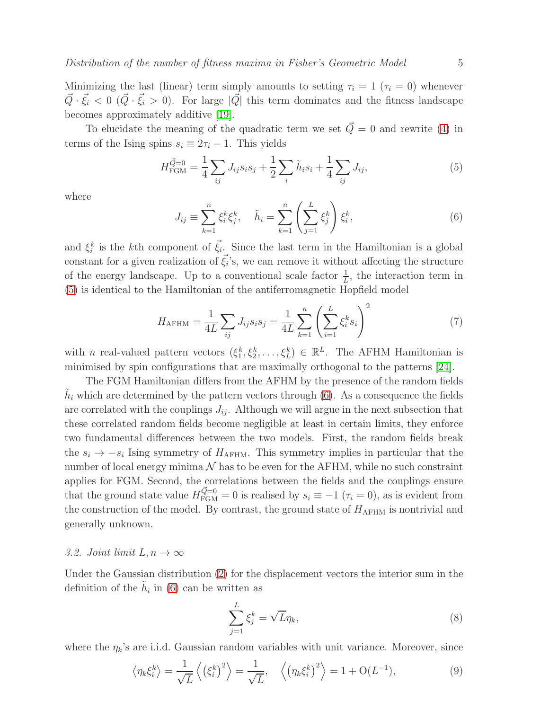To elucidate the meaning of the quadratic term we set  $\vec{Q} = 0$  and rewrite [\(4\)](#page-3-2) in terms of the Ising spins  $s_i \equiv 2\tau_i - 1$ . This yields

<span id="page-4-0"></span>
$$
H_{\text{FGM}}^{\vec{Q}=0} = \frac{1}{4} \sum_{ij} J_{ij} s_i s_j + \frac{1}{2} \sum_i \tilde{h}_i s_i + \frac{1}{4} \sum_{ij} J_{ij},\tag{5}
$$

<span id="page-4-1"></span>where

<span id="page-4-2"></span>
$$
J_{ij} \equiv \sum_{k=1}^{n} \xi_i^k \xi_j^k, \quad \tilde{h}_i = \sum_{k=1}^{n} \left( \sum_{j=1}^{L} \xi_j^k \right) \xi_i^k,
$$
\n(6)

and  $\xi_i^k$  is the kth component of  $\vec{\xi}_i$ . Since the last term in the Hamiltonian is a global constant for a given realization of  $\vec{\xi_i}$ 's, we can remove it without affecting the structure of the energy landscape. Up to a conventional scale factor  $\frac{1}{L}$ , the interaction term in [\(5\)](#page-4-0) is identical to the Hamiltonian of the antiferromagnetic Hopfield model

$$
H_{\text{AFHM}} = \frac{1}{4L} \sum_{ij} J_{ij} s_i s_j = \frac{1}{4L} \sum_{k=1}^{n} \left( \sum_{i=1}^{L} \xi_i^k s_i \right)^2 \tag{7}
$$

with *n* real-valued pattern vectors  $(\xi_1^k, \xi_2^k, \dots, \xi_L^k) \in \mathbb{R}^L$ . The AFHM Hamiltonian is minimised by spin configurations that are maximally orthogonal to the patterns [\[24\]](#page-33-22).

The FGM Hamiltonian differs from the AFHM by the presence of the random fields  $\tilde{h}_i$  which are determined by the pattern vectors through [\(6\)](#page-4-1). As a consequence the fields are correlated with the couplings  $J_{ij}$ . Although we will argue in the next subsection that these correlated random fields become negligible at least in certain limits, they enforce two fundamental differences between the two models. First, the random fields break the  $s_i \rightarrow -s_i$  Ising symmetry of  $H_{\text{AFHM}}$ . This symmetry implies in particular that the number of local energy minima  $\mathcal N$  has to be even for the AFHM, while no such constraint applies for FGM. Second, the correlations between the fields and the couplings ensure that the ground state value  $H_{\text{FGM}}^{\vec{Q}=0} = 0$  is realised by  $s_i \equiv -1$  ( $\tau_i = 0$ ), as is evident from the construction of the model. By contrast, the ground state of  $H_{\text{AFHM}}$  is nontrivial and generally unknown.

## 3.2. Joint limit  $L, n \to \infty$

Under the Gaussian distribution [\(2\)](#page-3-0) for the displacement vectors the interior sum in the definition of the  $\tilde{h}_i$  in [\(6\)](#page-4-1) can be written as

$$
\sum_{j=1}^{L} \xi_j^k = \sqrt{L} \eta_k,\tag{8}
$$

where the  $\eta_k$ 's are i.i.d. Gaussian random variables with unit variance. Moreover, since

$$
\left\langle \eta_k \xi_i^k \right\rangle = \frac{1}{\sqrt{L}} \left\langle \left(\xi_i^k\right)^2 \right\rangle = \frac{1}{\sqrt{L}}, \quad \left\langle \left(\eta_k \xi_i^k\right)^2 \right\rangle = 1 + \mathcal{O}(L^{-1}), \tag{9}
$$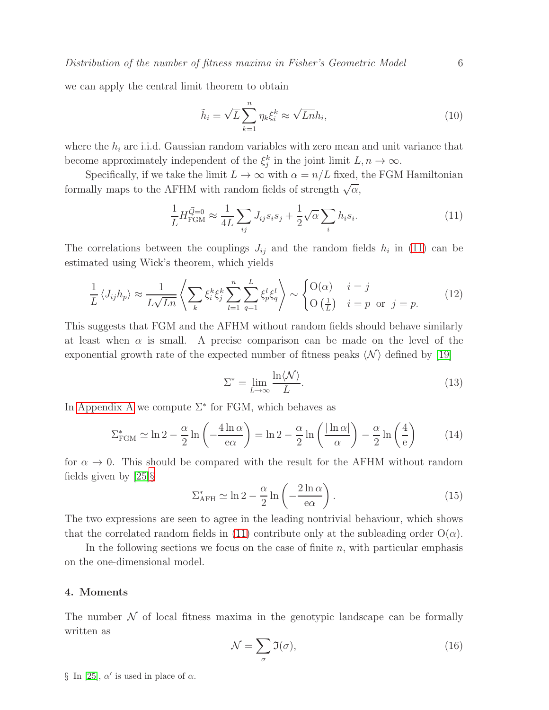we can apply the central limit theorem to obtain

<span id="page-5-1"></span>
$$
\tilde{h}_i = \sqrt{L} \sum_{k=1}^n \eta_k \xi_i^k \approx \sqrt{Ln} h_i,\tag{10}
$$

where the  $h_i$  are i.i.d. Gaussian random variables with zero mean and unit variance that become approximately independent of the  $\xi_j^k$  in the joint limit  $L, n \to \infty$ .

Specifically, if we take the limit  $L \to \infty$  with  $\alpha = n/L$  fixed, the FGM Hamiltonian formally maps to the AFHM with random fields of strength  $\sqrt{\alpha}$ ,

$$
\frac{1}{L} H_{\text{FGM}}^{\vec{Q}=0} \approx \frac{1}{4L} \sum_{ij} J_{ij} s_i s_j + \frac{1}{2} \sqrt{\alpha} \sum_i h_i s_i.
$$
\n(11)

The correlations between the couplings  $J_{ij}$  and the random fields  $h_i$  in [\(11\)](#page-5-1) can be estimated using Wick's theorem, which yields

$$
\frac{1}{L} \langle J_{ij} h_p \rangle \approx \frac{1}{L\sqrt{Ln}} \left\langle \sum_k \xi_i^k \xi_j^k \sum_{l=1}^n \sum_{q=1}^L \xi_p^l \xi_q^l \right\rangle \sim \begin{cases} O(\alpha) & i = j \\ O\left(\frac{1}{L}\right) & i = p \text{ or } j = p. \end{cases} \tag{12}
$$

This suggests that FGM and the AFHM without random fields should behave similarly at least when  $\alpha$  is small. A precise comparison can be made on the level of the exponential growth rate of the expected number of fitness peaks  $\langle N \rangle$  defined by [\[19\]](#page-33-17)

<span id="page-5-4"></span><span id="page-5-3"></span>
$$
\Sigma^* = \lim_{L \to \infty} \frac{\ln \langle \mathcal{N} \rangle}{L}.
$$
\n(13)

In [Appendix A](#page-17-0) we compute  $\Sigma^*$  for FGM, which behaves as

$$
\Sigma_{\text{FGM}}^* \simeq \ln 2 - \frac{\alpha}{2} \ln \left( -\frac{4 \ln \alpha}{e\alpha} \right) = \ln 2 - \frac{\alpha}{2} \ln \left( \frac{|\ln \alpha|}{\alpha} \right) - \frac{\alpha}{2} \ln \left( \frac{4}{e} \right) \tag{14}
$$

for  $\alpha \to 0$ . This should be compared with the result for the AFHM without random fields given by [\[25\]](#page-33-23)[§](#page-5-2)

$$
\Sigma_{\text{AFH}}^* \simeq \ln 2 - \frac{\alpha}{2} \ln \left( -\frac{2 \ln \alpha}{\text{e}\alpha} \right). \tag{15}
$$

The two expressions are seen to agree in the leading nontrivial behaviour, which shows that the correlated random fields in [\(11\)](#page-5-1) contribute only at the subleading order  $O(\alpha)$ .

In the following sections we focus on the case of finite  $n$ , with particular emphasis on the one-dimensional model.

## <span id="page-5-0"></span>4. Moments

The number  $\mathcal N$  of local fitness maxima in the genotypic landscape can be formally written as

$$
\mathcal{N} = \sum_{\sigma} \mathfrak{I}(\sigma),\tag{16}
$$

<span id="page-5-2"></span>§ In [\[25\]](#page-33-23),  $\alpha'$  is used in place of  $\alpha$ .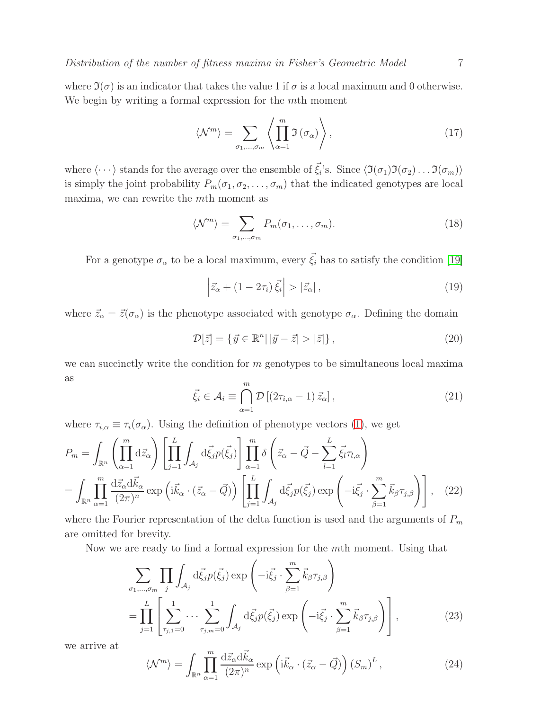where  $\mathfrak{I}(\sigma)$  is an indicator that takes the value 1 if  $\sigma$  is a local maximum and 0 otherwise. We begin by writing a formal expression for the mth moment

$$
\langle \mathcal{N}^m \rangle = \sum_{\sigma_1, \dots, \sigma_m} \left\langle \prod_{\alpha=1}^m \mathfrak{I}(\sigma_\alpha) \right\rangle, \tag{17}
$$

where  $\langle \cdots \rangle$  stands for the average over the ensemble of  $\vec{\xi}_i$ 's. Since  $\langle \mathfrak{I}(\sigma_1)\mathfrak{I}(\sigma_2) \dots \mathfrak{I}(\sigma_m) \rangle$ is simply the joint probability  $P_m(\sigma_1, \sigma_2, \ldots, \sigma_m)$  that the indicated genotypes are local maxima, we can rewrite the mth moment as

$$
\langle \mathcal{N}^m \rangle = \sum_{\sigma_1, \dots, \sigma_m} P_m(\sigma_1, \dots, \sigma_m). \tag{18}
$$

For a genotype  $\sigma_{\alpha}$  to be a local maximum, every  $\vec{\xi}_i$  has to satisfy the condition [\[19\]](#page-33-17)

<span id="page-6-1"></span>
$$
\left|\vec{z}_{\alpha} + (1 - 2\tau_i)\vec{\xi}_i\right| > \left|\vec{z}_{\alpha}\right|,\tag{19}
$$

where  $\vec{z}_{\alpha} = \vec{z}(\sigma_{\alpha})$  is the phenotype associated with genotype  $\sigma_{\alpha}$ . Defining the domain

$$
\mathcal{D}[\vec{z}] = \{ \vec{y} \in \mathbb{R}^n | |\vec{y} - \vec{z}| > |\vec{z}| \},\tag{20}
$$

we can succinctly write the condition for m genotypes to be simultaneous local maxima as

$$
\vec{\xi}_i \in \mathcal{A}_i \equiv \bigcap_{\alpha=1}^m \mathcal{D}\left[ (2\tau_{i,\alpha} - 1) \, \vec{z}_\alpha \right],\tag{21}
$$

where  $\tau_{i,\alpha} \equiv \tau_i(\sigma_\alpha)$ . Using the definition of phenotype vectors [\(1\)](#page-3-1), we get

$$
P_m = \int_{\mathbb{R}^n} \left( \prod_{\alpha=1}^m \mathrm{d}\vec{z}_{\alpha} \right) \left[ \prod_{j=1}^L \int_{\mathcal{A}_j} \mathrm{d}\vec{\xi}_j p(\vec{\xi}_j) \right] \prod_{\alpha=1}^m \delta \left( \vec{z}_{\alpha} - \vec{Q} - \sum_{l=1}^L \vec{\xi}_l \tau_{l,\alpha} \right)
$$
  
= 
$$
\int_{\mathbb{R}^n} \prod_{\alpha=1}^m \frac{\mathrm{d}\vec{z}_{\alpha} \mathrm{d}\vec{k}_{\alpha}}{(2\pi)^n} \exp \left( i \vec{k}_{\alpha} \cdot (\vec{z}_{\alpha} - \vec{Q}) \right) \left[ \prod_{j=1}^L \int_{\mathcal{A}_j} \mathrm{d}\vec{\xi}_j p(\vec{\xi}_j) \exp \left( -i \vec{\xi}_j \cdot \sum_{\beta=1}^m \vec{k}_{\beta} \tau_{j,\beta} \right) \right], \quad (22)
$$

where the Fourier representation of the delta function is used and the arguments of  $P_m$ are omitted for brevity.

Now we are ready to find a formal expression for the mth moment. Using that

$$
\sum_{\sigma_1,\dots,\sigma_m} \prod_j \int_{\mathcal{A}_j} d\vec{\xi}_j p(\vec{\xi}_j) \exp\left(-i\vec{\xi}_j \cdot \sum_{\beta=1}^m \vec{k}_{\beta} \tau_{j,\beta}\right)
$$
\n
$$
= \prod_{j=1}^L \left[ \sum_{\tau_{j,1}=0}^1 \cdots \sum_{\tau_{j,m}=0}^1 \int_{\mathcal{A}_j} d\vec{\xi}_j p(\vec{\xi}_j) \exp\left(-i\vec{\xi}_j \cdot \sum_{\beta=1}^m \vec{k}_{\beta} \tau_{j,\beta}\right) \right],
$$
\n(23)

we arrive at

<span id="page-6-0"></span>
$$
\langle \mathcal{N}^m \rangle = \int_{\mathbb{R}^n} \prod_{\alpha=1}^m \frac{\mathrm{d}\vec{z}_{\alpha} \mathrm{d}\vec{k}_{\alpha}}{(2\pi)^n} \exp\left(\mathrm{i}\vec{k}_{\alpha} \cdot (\vec{z}_{\alpha} - \vec{Q})\right) (S_m)^L, \tag{24}
$$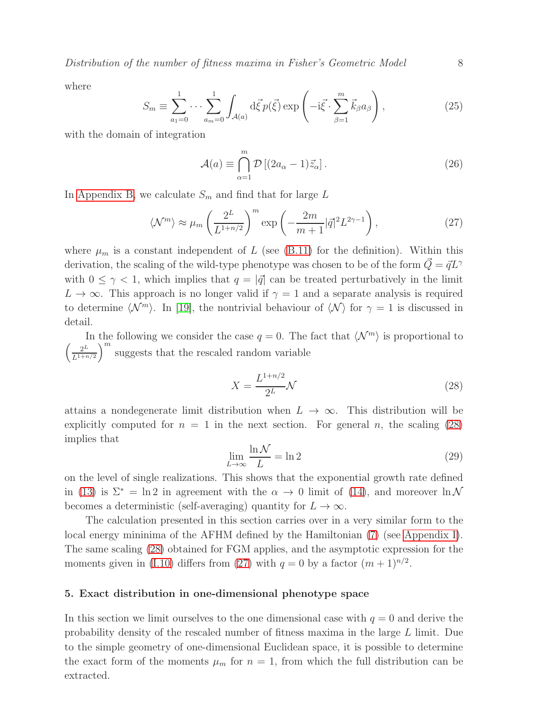Distribution of the number of fitness maxima in Fisher's Geometric Model 8

<span id="page-7-3"></span>where

$$
S_m \equiv \sum_{a_1=0}^1 \cdots \sum_{a_m=0}^1 \int_{\mathcal{A}(a)} d\vec{\xi} p(\vec{\xi}) \exp\left(-i\vec{\xi} \cdot \sum_{\beta=1}^m \vec{k}_{\beta} a_{\beta}\right),\tag{25}
$$

with the domain of integration

<span id="page-7-2"></span>
$$
\mathcal{A}(a) \equiv \bigcap_{\alpha=1}^{m} \mathcal{D} \left[ (2a_{\alpha} - 1)\vec{z}_{\alpha} \right].
$$
 (26)

In [Appendix B,](#page-19-0) we calculate  $S_m$  and find that for large L

$$
\langle \mathcal{N}^m \rangle \approx \mu_m \left( \frac{2^L}{L^{1+n/2}} \right)^m \exp \left( -\frac{2m}{m+1} |\vec{q}|^2 L^{2\gamma - 1} \right), \tag{27}
$$

where  $\mu_m$  is a constant independent of L (see [\(B.11\)](#page-21-0) for the definition). Within this derivation, the scaling of the wild-type phenotype was chosen to be of the form  $Q = \vec{q}L^{\gamma}$ with  $0 \leq \gamma < 1$ , which implies that  $q = |\vec{q}|$  can be treated perturbatively in the limit  $L \to \infty$ . This approach is no longer valid if  $\gamma = 1$  and a separate analysis is required to determine  $\langle \mathcal{N}^m \rangle$ . In [\[19\]](#page-33-17), the nontrivial behaviour of  $\langle \mathcal{N} \rangle$  for  $\gamma = 1$  is discussed in detail.

In the following we consider the case  $q = 0$ . The fact that  $\langle \mathcal{N}^m \rangle$  is proportional to  $\int_{-\infty}^{2L} 2^L$  $L^{1+n/2}$  $\int_{0}^{\infty}$  suggests that the rescaled random variable

<span id="page-7-1"></span>
$$
X = \frac{L^{1+n/2}}{2^L} \mathcal{N}
$$
\n<sup>(28)</sup>

attains a nondegenerate limit distribution when  $L \to \infty$ . This distribution will be explicitly computed for  $n = 1$  in the next section. For general n, the scaling [\(28\)](#page-7-1) implies that

$$
\lim_{L \to \infty} \frac{\ln \mathcal{N}}{L} = \ln 2 \tag{29}
$$

on the level of single realizations. This shows that the exponential growth rate defined in [\(13\)](#page-5-3) is  $\Sigma^* = \ln 2$  in agreement with the  $\alpha \to 0$  limit of [\(14\)](#page-5-4), and moreover  $\ln N$ becomes a deterministic (self-averaging) quantity for  $L \to \infty$ .

The calculation presented in this section carries over in a very similar form to the local energy mininima of the AFHM defined by the Hamiltonian [\(7\)](#page-4-2) (see [Appendix I\)](#page-29-0). The same scaling [\(28\)](#page-7-1) obtained for FGM applies, and the asymptotic expression for the moments given in [\(I.10\)](#page-30-0) differs from [\(27\)](#page-7-2) with  $q = 0$  by a factor  $(m + 1)^{n/2}$ .

#### <span id="page-7-0"></span>5. Exact distribution in one-dimensional phenotype space

In this section we limit ourselves to the one dimensional case with  $q = 0$  and derive the probability density of the rescaled number of fitness maxima in the large L limit. Due to the simple geometry of one-dimensional Euclidean space, it is possible to determine the exact form of the moments  $\mu_m$  for  $n = 1$ , from which the full distribution can be extracted.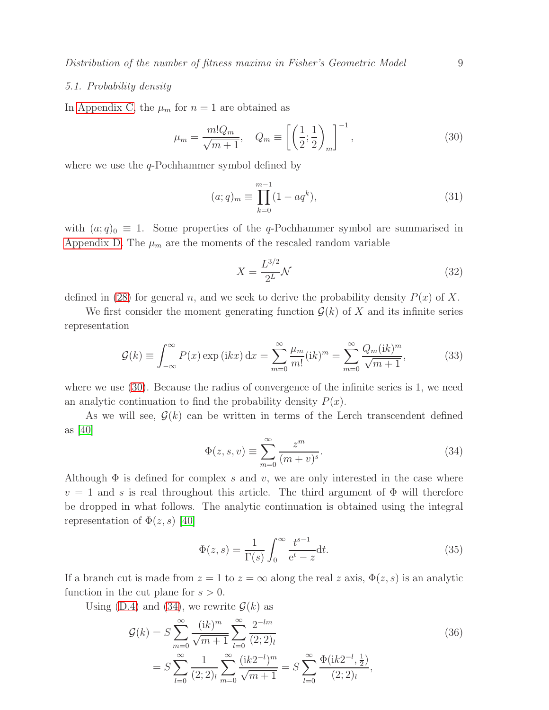### 5.1. Probability density

In [Appendix C,](#page-21-1) the  $\mu_m$  for  $n = 1$  are obtained as

$$
\mu_m = \frac{m! Q_m}{\sqrt{m+1}}, \quad Q_m \equiv \left[ \left( \frac{1}{2}; \frac{1}{2} \right)_m \right]^{-1}, \tag{30}
$$

where we use the  $q$ -Pochhammer symbol defined by

<span id="page-8-2"></span><span id="page-8-0"></span>
$$
(a;q)_m \equiv \prod_{k=0}^{m-1} (1 - aq^k), \tag{31}
$$

with  $(a;q)_0 \equiv 1$ . Some properties of the q-Pochhammer symbol are summarised in [Appendix D.](#page-22-0) The  $\mu_m$  are the moments of the rescaled random variable

<span id="page-8-4"></span>
$$
X = \frac{L^{3/2}}{2^L} \mathcal{N}
$$
\n(32)

defined in [\(28\)](#page-7-1) for general n, and we seek to derive the probability density  $P(x)$  of X.

We first consider the moment generating function  $\mathcal{G}(k)$  of X and its infinite series representation

<span id="page-8-3"></span>
$$
\mathcal{G}(k) \equiv \int_{-\infty}^{\infty} P(x) \exp\left(ikx\right) dx = \sum_{m=0}^{\infty} \frac{\mu_m}{m!} (ik)^m = \sum_{m=0}^{\infty} \frac{Q_m (ik)^m}{\sqrt{m+1}},\tag{33}
$$

where we use  $(30)$ . Because the radius of convergence of the infinite series is 1, we need an analytic continuation to find the probability density  $P(x)$ .

<span id="page-8-1"></span>As we will see,  $\mathcal{G}(k)$  can be written in terms of the Lerch transcendent defined as  $|40|$ 

$$
\Phi(z, s, v) \equiv \sum_{m=0}^{\infty} \frac{z^m}{(m+v)^s}.
$$
\n(34)

Although  $\Phi$  is defined for complex s and v, we are only interested in the case where  $v = 1$  and s is real throughout this article. The third argument of  $\Phi$  will therefore be dropped in what follows. The analytic continuation is obtained using the integral representation of  $\Phi(z, s)$  [\[40\]](#page-34-14)

$$
\Phi(z,s) = \frac{1}{\Gamma(s)} \int_0^\infty \frac{t^{s-1}}{e^t - z} dt.
$$
\n(35)

If a branch cut is made from  $z = 1$  to  $z = \infty$  along the real z axis,  $\Phi(z, s)$  is an analytic function in the cut plane for  $s > 0$ .

Using [\(D.4\)](#page-22-1) and [\(34\)](#page-8-1), we rewrite  $\mathcal{G}(k)$  as

$$
\mathcal{G}(k) = S \sum_{m=0}^{\infty} \frac{(\mathrm{i}k)^m}{\sqrt{m+1}} \sum_{l=0}^{\infty} \frac{2^{-lm}}{(2;2)_l}
$$
\n
$$
= S \sum_{l=0}^{\infty} \frac{1}{(2;2)_l} \sum_{m=0}^{\infty} \frac{(\mathrm{i}k 2^{-l})^m}{\sqrt{m+1}} = S \sum_{l=0}^{\infty} \frac{\Phi(\mathrm{i}k 2^{-l}, \frac{1}{2})}{(2;2)_l},
$$
\n(36)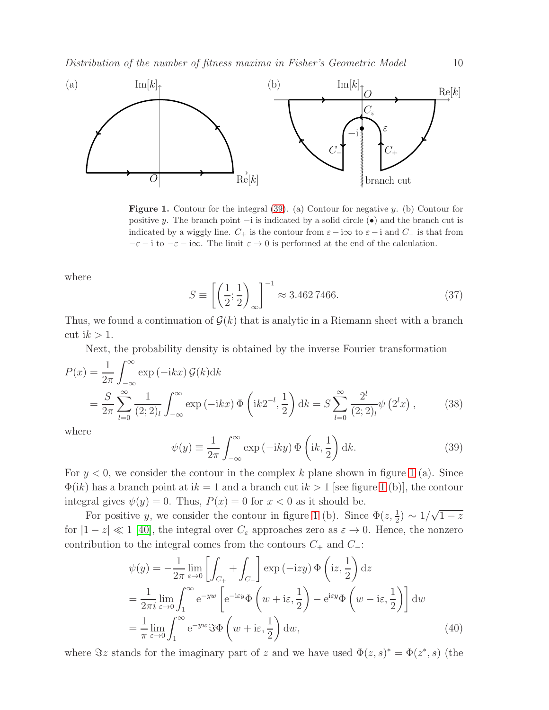

<span id="page-9-1"></span>**Figure 1.** Contour for the integral  $(39)$ . (a) Contour for negative y. (b) Contour for positive y. The branch point  $-i$  is indicated by a solid circle  $(\bullet)$  and the branch cut is indicated by a wiggly line.  $C_+$  is the contour from  $\varepsilon - i\infty$  to  $\varepsilon - i$  and  $C_-$  is that from  $-\varepsilon - i$  to  $-\varepsilon - i\infty$ . The limit  $\varepsilon \to 0$  is performed at the end of the calculation.

<span id="page-9-3"></span>where

$$
S \equiv \left[ \left( \frac{1}{2}; \frac{1}{2} \right)_{\infty} \right]^{-1} \approx 3.4627466. \tag{37}
$$

Thus, we found a continuation of  $\mathcal{G}(k)$  that is analytic in a Riemann sheet with a branch cut i $k > 1$ .

<span id="page-9-2"></span>Next, the probability density is obtained by the inverse Fourier transformation

$$
P(x) = \frac{1}{2\pi} \int_{-\infty}^{\infty} \exp(-ikx) \mathcal{G}(k) dk
$$
  
=  $\frac{S}{2\pi} \sum_{l=0}^{\infty} \frac{1}{(2;2)_l} \int_{-\infty}^{\infty} \exp(-ikx) \Phi\left(ik2^{-l}, \frac{1}{2}\right) dk = S \sum_{l=0}^{\infty} \frac{2^l}{(2;2)_l} \psi\left(2^l x\right),$  (38)

<span id="page-9-0"></span>where

$$
\psi(y) \equiv \frac{1}{2\pi} \int_{-\infty}^{\infty} \exp(-iky) \Phi\left(ik, \frac{1}{2}\right) dk.
$$
 (39)

For  $y < 0$ , we consider the contour in the complex k plane shown in figure [1](#page-9-1) (a). Since  $\Phi(ik)$  has a branch point at  $ik = 1$  $ik = 1$  and a branch cut  $ik > 1$  [see figure 1 (b)], the contour integral gives  $\psi(y) = 0$ . Thus,  $P(x) = 0$  for  $x < 0$  as it should be.

For positive y, we consider the contour in figure [1](#page-9-1) (b). Since  $\Phi(z, \frac{1}{2}) \sim 1/\sqrt{1-z}$ for  $|1-z| \ll 1$  [\[40\]](#page-34-14), the integral over  $C_{\varepsilon}$  approaches zero as  $\varepsilon \to 0$ . Hence, the nonzero contribution to the integral comes from the contours  $C_+$  and  $C_-\$ :

$$
\psi(y) = -\frac{1}{2\pi} \lim_{\varepsilon \to 0} \left[ \int_{C_+} + \int_{C_-} \right] \exp(-izy) \Phi\left( iz, \frac{1}{2} \right) dz
$$
  
\n
$$
= \frac{1}{2\pi i} \lim_{\varepsilon \to 0} \int_1^\infty e^{-yw} \left[ e^{-izy} \Phi\left( w + i\varepsilon, \frac{1}{2} \right) - e^{izy} \Phi\left( w - i\varepsilon, \frac{1}{2} \right) \right] dw
$$
  
\n
$$
= \frac{1}{\pi} \lim_{\varepsilon \to 0} \int_1^\infty e^{-yw} \Im \Phi\left( w + i\varepsilon, \frac{1}{2} \right) dw,
$$
 (40)

where  $\Im z$  stands for the imaginary part of z and we have used  $\Phi(z, s)^* = \Phi(z^*, s)$  (the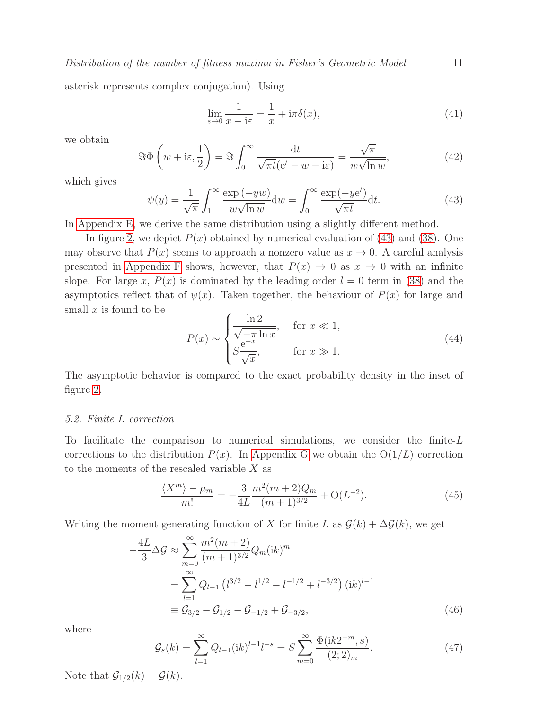asterisk represents complex conjugation). Using

$$
\lim_{\varepsilon \to 0} \frac{1}{x - i\varepsilon} = \frac{1}{x} + i\pi \delta(x),\tag{41}
$$

we obtain

$$
\Im \Phi \left( w + i \varepsilon, \frac{1}{2} \right) = \Im \int_0^\infty \frac{dt}{\sqrt{\pi t} (e^t - w - i \varepsilon)} = \frac{\sqrt{\pi}}{w \sqrt{\ln w}},\tag{42}
$$

which gives

<span id="page-10-0"></span>
$$
\psi(y) = \frac{1}{\sqrt{\pi}} \int_1^{\infty} \frac{\exp(-yw)}{w\sqrt{\ln w}} dw = \int_0^{\infty} \frac{\exp(-ye^t)}{\sqrt{\pi t}} dt.
$$
 (43)

In [Appendix E,](#page-24-0) we derive the same distribution using a slightly different method.

In figure [2,](#page-11-0) we depict  $P(x)$  obtained by numerical evaluation of [\(43\)](#page-10-0) and [\(38\)](#page-9-2). One may observe that  $P(x)$  seems to approach a nonzero value as  $x \to 0$ . A careful analysis presented in [Appendix F](#page-25-0) shows, however, that  $P(x) \to 0$  as  $x \to 0$  with an infinite slope. For large x,  $P(x)$  is dominated by the leading order  $l = 0$  term in [\(38\)](#page-9-2) and the asymptotics reflect that of  $\psi(x)$ . Taken together, the behaviour of  $P(x)$  for large and small  $x$  is found to be

<span id="page-10-1"></span>
$$
P(x) \sim \begin{cases} \frac{\ln 2}{\sqrt{-\pi \ln x}}, & \text{for } x \ll 1, \\ S\frac{\mathrm{e}^{-x}}{\sqrt{x}}, & \text{for } x \gg 1. \end{cases}
$$
 (44)

The asymptotic behavior is compared to the exact probability density in the inset of figure [2.](#page-11-0)

#### <span id="page-10-2"></span>5.2. Finite L correction

To facilitate the comparison to numerical simulations, we consider the finite- $L$ corrections to the distribution  $P(x)$ . In [Appendix G](#page-27-0) we obtain the  $O(1/L)$  correction to the moments of the rescaled variable  $X$  as

$$
\frac{\langle X^m \rangle - \mu_m}{m!} = -\frac{3}{4L} \frac{m^2(m+2)Q_m}{(m+1)^{3/2}} + \mathcal{O}(L^{-2}).\tag{45}
$$

Writing the moment generating function of X for finite L as  $\mathcal{G}(k) + \Delta \mathcal{G}(k)$ , we get

$$
-\frac{4L}{3}\Delta\mathcal{G} \approx \sum_{m=0}^{\infty} \frac{m^2(m+2)}{(m+1)^{3/2}} Q_m(\mathrm{i}k)^m
$$
  
= 
$$
\sum_{l=1}^{\infty} Q_{l-1} (l^{3/2} - l^{1/2} - l^{-1/2} + l^{-3/2}) (\mathrm{i}k)^{l-1}
$$
  
\equiv 
$$
\mathcal{G}_{3/2} - \mathcal{G}_{1/2} - \mathcal{G}_{-1/2} + \mathcal{G}_{-3/2},
$$
 (46)

where

$$
\mathcal{G}_s(k) = \sum_{l=1}^{\infty} Q_{l-1}(ik)^{l-1} l^{-s} = S \sum_{m=0}^{\infty} \frac{\Phi(ik2^{-m}, s)}{(2; 2)_m}.
$$
 (47)

Note that  $\mathcal{G}_{1/2}(k) = \mathcal{G}(k)$ .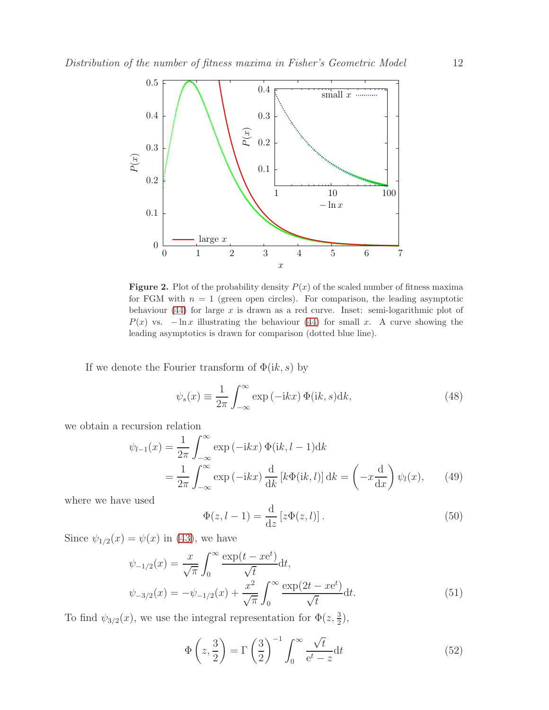

<span id="page-11-0"></span>**Figure 2.** Plot of the probability density  $P(x)$  of the scaled number of fitness maxima for FGM with  $n = 1$  (green open circles). For comparison, the leading asymptotic behaviour [\(44\)](#page-10-1) for large  $x$  is drawn as a red curve. Inset: semi-logarithmic plot of  $P(x)$  vs.  $-\ln x$  illustrating the behaviour [\(44\)](#page-10-1) for small x. A curve showing the leading asymptotics is drawn for comparison (dotted blue line).

If we denote the Fourier transform of  $\Phi(ik, s)$  by

$$
\psi_s(x) \equiv \frac{1}{2\pi} \int_{-\infty}^{\infty} \exp(-ikx) \Phi(ik, s) dk,
$$
\n(48)

we obtain a recursion relation

$$
\psi_{l-1}(x) = \frac{1}{2\pi} \int_{-\infty}^{\infty} \exp(-ikx) \Phi(ik, l-1) dk
$$
  
= 
$$
\frac{1}{2\pi} \int_{-\infty}^{\infty} \exp(-ikx) \frac{d}{dk} [k\Phi(ik, l)] dk = \left(-x \frac{d}{dx}\right) \psi_l(x), \qquad (49)
$$

where we have used

$$
\Phi(z, l-1) = \frac{\mathrm{d}}{\mathrm{d}z} \left[ z \Phi(z, l) \right]. \tag{50}
$$

Since  $\psi_{1/2}(x) = \psi(x)$  in [\(43\)](#page-10-0), we have

$$
\psi_{-1/2}(x) = \frac{x}{\sqrt{\pi}} \int_0^\infty \frac{\exp(t - xe^t)}{\sqrt{t}} dt,
$$
  

$$
\psi_{-3/2}(x) = -\psi_{-1/2}(x) + \frac{x^2}{\sqrt{\pi}} \int_0^\infty \frac{\exp(2t - xe^t)}{\sqrt{t}} dt.
$$
 (51)

To find  $\psi_{3/2}(x)$ , we use the integral representation for  $\Phi(z, \frac{3}{2})$ ,

$$
\Phi\left(z, \frac{3}{2}\right) = \Gamma\left(\frac{3}{2}\right)^{-1} \int_0^\infty \frac{\sqrt{t}}{e^t - z} dt \tag{52}
$$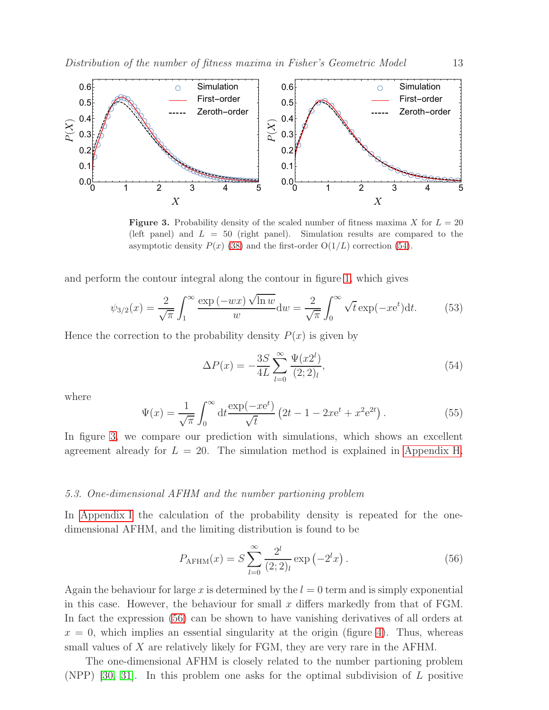

<span id="page-12-1"></span>**Figure 3.** Probability density of the scaled number of fitness maxima X for  $L = 20$ (left panel) and  $L = 50$  (right panel). Simulation results are compared to the asymptotic density  $P(x)$  [\(38\)](#page-9-2) and the first-order  $O(1/L)$  correction [\(54\)](#page-12-0).

and perform the contour integral along the contour in figure [1,](#page-9-1) which gives

$$
\psi_{3/2}(x) = \frac{2}{\sqrt{\pi}} \int_1^\infty \frac{\exp\left(-wx\right)\sqrt{\ln w}}{w} dw = \frac{2}{\sqrt{\pi}} \int_0^\infty \sqrt{t} \exp\left(-xe^t\right) dt. \tag{53}
$$

Hence the correction to the probability density  $P(x)$  is given by

<span id="page-12-0"></span>
$$
\Delta P(x) = -\frac{3S}{4L} \sum_{l=0}^{\infty} \frac{\Psi(x2^l)}{(2;2)_l},\tag{54}
$$

where

$$
\Psi(x) = \frac{1}{\sqrt{\pi}} \int_0^\infty dt \frac{\exp(-xe^t)}{\sqrt{t}} \left(2t - 1 - 2xe^t + x^2 e^{2t}\right).
$$
 (55)

In figure [3,](#page-12-1) we compare our prediction with simulations, which shows an excellent agreement already for  $L = 20$ . The simulation method is explained in [Appendix H.](#page-28-0)

#### 5.3. One-dimensional AFHM and the number partioning problem

In [Appendix I](#page-29-0) the calculation of the probability density is repeated for the onedimensional AFHM, and the limiting distribution is found to be

<span id="page-12-2"></span>
$$
P_{\text{AFHM}}(x) = S \sum_{l=0}^{\infty} \frac{2^l}{(2;2)_l} \exp\left(-2^l x\right). \tag{56}
$$

Again the behaviour for large x is determined by the  $l = 0$  term and is simply exponential in this case. However, the behaviour for small  $x$  differs markedly from that of FGM. In fact the expression [\(56\)](#page-12-2) can be shown to have vanishing derivatives of all orders at  $x = 0$ , which implies an essential singularity at the origin (figure [4\)](#page-13-1). Thus, whereas small values of X are relatively likely for FGM, they are very rare in the AFHM.

The one-dimensional AFHM is closely related to the number partioning problem (NPP) [\[30,](#page-34-4) [31\]](#page-34-5). In this problem one asks for the optimal subdivision of  $L$  positive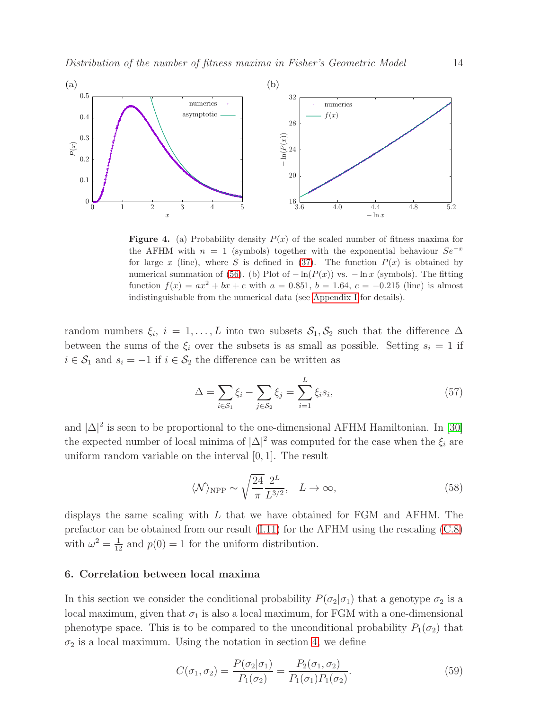

<span id="page-13-1"></span>**Figure 4.** (a) Probability density  $P(x)$  of the scaled number of fitness maxima for the AFHM with  $n = 1$  (symbols) together with the exponential behaviour  $Se^{-x}$ for large x (line), where S is defined in [\(37\)](#page-9-3). The function  $P(x)$  is obtained by numerical summation of [\(56\)](#page-12-2). (b) Plot of  $-\ln(P(x))$  vs.  $-\ln x$  (symbols). The fitting function  $f(x) = ax^2 + bx + c$  with  $a = 0.851$ ,  $b = 1.64$ ,  $c = -0.215$  (line) is almost indistinguishable from the numerical data (see [Appendix I](#page-29-0) for details).

random numbers  $\xi_i$ ,  $i = 1, ..., L$  into two subsets  $S_1, S_2$  such that the difference  $\Delta$ between the sums of the  $\xi_i$  over the subsets is as small as possible. Setting  $s_i = 1$  if  $i \in \mathcal{S}_1$  and  $s_i = -1$  if  $i \in \mathcal{S}_2$  the difference can be written as

$$
\Delta = \sum_{i \in S_1} \xi_i - \sum_{j \in S_2} \xi_j = \sum_{i=1}^L \xi_i s_i,
$$
\n(57)

and  $|\Delta|^2$  is seen to be proportional to the one-dimensional AFHM Hamiltonian. In [\[30\]](#page-34-4) the expected number of local minima of  $|\Delta|^2$  was computed for the case when the  $\xi_i$  are uniform random variable on the interval [0, 1]. The result

$$
\langle \mathcal{N} \rangle_{\text{NPP}} \sim \sqrt{\frac{24}{\pi}} \frac{2^L}{L^{3/2}}, \quad L \to \infty,
$$
\n(58)

displays the same scaling with L that we have obtained for FGM and AFHM. The prefactor can be obtained from our result [\(I.11\)](#page-30-1) for the AFHM using the rescaling [\(C.8\)](#page-22-2) with  $\omega^2 = \frac{1}{12}$  and  $p(0) = 1$  for the uniform distribution.

#### <span id="page-13-0"></span>6. Correlation between local maxima

In this section we consider the conditional probability  $P(\sigma_2|\sigma_1)$  that a genotype  $\sigma_2$  is a local maximum, given that  $\sigma_1$  is also a local maximum, for FGM with a one-dimensional phenotype space. This is to be compared to the unconditional probability  $P_1(\sigma_2)$  that  $\sigma_2$  is a local maximum. Using the notation in section [4,](#page-5-0) we define

$$
C(\sigma_1, \sigma_2) = \frac{P(\sigma_2 | \sigma_1)}{P_1(\sigma_2)} = \frac{P_2(\sigma_1, \sigma_2)}{P_1(\sigma_1)P_1(\sigma_2)}.
$$
\n(59)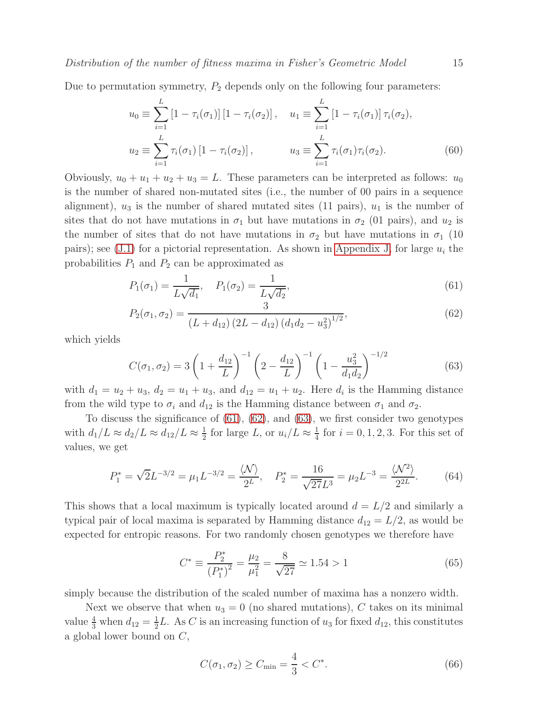Due to permutation symmetry,  $P_2$  depends only on the following four parameters:

<span id="page-14-2"></span>
$$
u_0 \equiv \sum_{i=1}^{L} \left[1 - \tau_i(\sigma_1)\right] \left[1 - \tau_i(\sigma_2)\right], \quad u_1 \equiv \sum_{i=1}^{L} \left[1 - \tau_i(\sigma_1)\right] \tau_i(\sigma_2),
$$
  

$$
u_2 \equiv \sum_{i=1}^{L} \tau_i(\sigma_1) \left[1 - \tau_i(\sigma_2)\right], \qquad u_3 \equiv \sum_{i=1}^{L} \tau_i(\sigma_1) \tau_i(\sigma_2).
$$
 (60)

Obviously,  $u_0 + u_1 + u_2 + u_3 = L$ . These parameters can be interpreted as follows:  $u_0$ is the number of shared non-mutated sites (i.e., the number of 00 pairs in a sequence alignment),  $u_3$  is the number of shared mutated sites (11 pairs),  $u_1$  is the number of sites that do not have mutations in  $\sigma_1$  but have mutations in  $\sigma_2$  (01 pairs), and  $u_2$  is the number of sites that do not have mutations in  $\sigma_2$  but have mutations in  $\sigma_1$  (10) pairs); see [\(J.1\)](#page-31-0) for a pictorial representation. As shown in [Appendix J,](#page-31-1) for large  $u_i$  the probabilities  $P_1$  and  $P_2$  can be approximated as

<span id="page-14-0"></span>
$$
P_1(\sigma_1) = \frac{1}{L\sqrt{d_1}}, \quad P_1(\sigma_2) = \frac{1}{L\sqrt{d_2}},\tag{61}
$$

$$
P_2(\sigma_1, \sigma_2) = \frac{3}{\left(L + d_{12}\right)\left(2L - d_{12}\right)\left(d_1d_2 - u_3^2\right)^{1/2}},\tag{62}
$$

which yields

<span id="page-14-1"></span>
$$
C(\sigma_1, \sigma_2) = 3\left(1 + \frac{d_{12}}{L}\right)^{-1} \left(2 - \frac{d_{12}}{L}\right)^{-1} \left(1 - \frac{u_3^2}{d_1 d_2}\right)^{-1/2}
$$
(63)

with  $d_1 = u_2 + u_3$ ,  $d_2 = u_1 + u_3$ , and  $d_{12} = u_1 + u_2$ . Here  $d_i$  is the Hamming distance from the wild type to  $\sigma_i$  and  $d_{12}$  is the Hamming distance between  $\sigma_1$  and  $\sigma_2$ .

To discuss the significance of [\(61\)](#page-14-0), [\(62\)](#page-14-0), and [\(63\)](#page-14-1), we first consider two genotypes with  $d_1/L \approx d_2/L \approx d_{12}/L \approx \frac{1}{2}$  $\frac{1}{2}$  for large L, or  $u_i/L \approx \frac{1}{4}$  $\frac{1}{4}$  for  $i = 0, 1, 2, 3$ . For this set of values, we get

$$
P_1^* = \sqrt{2}L^{-3/2} = \mu_1 L^{-3/2} = \frac{\langle \mathcal{N} \rangle}{2^L}, \quad P_2^* = \frac{16}{\sqrt{27}L^3} = \mu_2 L^{-3} = \frac{\langle \mathcal{N}^2 \rangle}{2^{2L}}.
$$
 (64)

This shows that a local maximum is typically located around  $d = L/2$  and similarly a typical pair of local maxima is separated by Hamming distance  $d_{12} = L/2$ , as would be expected for entropic reasons. For two randomly chosen genotypes we therefore have

$$
C^* \equiv \frac{P_2^*}{\left(P_1^*\right)^2} = \frac{\mu_2}{\mu_1^2} = \frac{8}{\sqrt{27}} \simeq 1.54 > 1\tag{65}
$$

simply because the distribution of the scaled number of maxima has a nonzero width.

Next we observe that when  $u_3 = 0$  (no shared mutations), C takes on its minimal value  $\frac{4}{3}$  when  $d_{12} = \frac{1}{2}$  $\frac{1}{2}L$ . As C is an increasing function of  $u_3$  for fixed  $d_{12}$ , this constitutes a global lower bound on C,

$$
C(\sigma_1, \sigma_2) \ge C_{\min} = \frac{4}{3} < C^*.
$$
\n(66)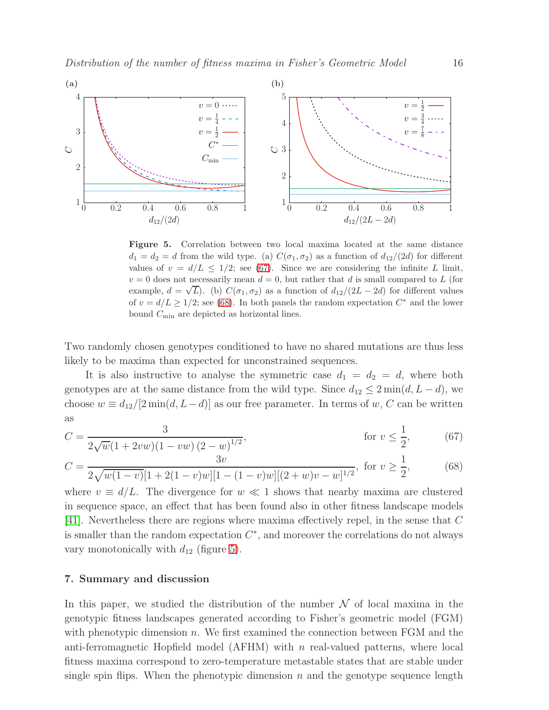

<span id="page-15-2"></span>Figure 5. Correlation between two local maxima located at the same distance  $d_1 = d_2 = d$  from the wild type. (a)  $C(\sigma_1, \sigma_2)$  as a function of  $d_{12}/(2d)$  for different values of  $v = d/L \leq 1/2$ ; see [\(67\)](#page-15-1). Since we are considering the infinite L limit,  $v = 0$  does not necessarily mean  $d = 0$ , but rather that d is small compared to L (for example,  $d = \sqrt{L}$ ). (b)  $C(\sigma_1, \sigma_2)$  as a function of  $d_{12}/(2L - 2d)$  for different values of  $v = d/L \ge 1/2$ ; see [\(68\)](#page-15-1). In both panels the random expectation  $C^*$  and the lower bound  $C_{\min}$  are depicted as horizontal lines.

Two randomly chosen genotypes conditioned to have no shared mutations are thus less likely to be maxima than expected for unconstrained sequences.

It is also instructive to analyse the symmetric case  $d_1 = d_2 = d$ , where both genotypes are at the same distance from the wild type. Since  $d_{12} \leq 2 \min(d, L - d)$ , we choose  $w \equiv d_{12}/[2 \min(d, L-d)]$  as our free parameter. In terms of w, C can be written as

<span id="page-15-1"></span>
$$
C = \frac{3}{2\sqrt{w}(1+2vw)(1-vw)(2-w)^{1/2}}, \qquad \text{for } v \le \frac{1}{2}, \qquad (67)
$$

$$
C = \frac{3v}{2\sqrt{w(1-v)}[1+2(1-v)w][1-(1-v)w][(2+w)v-w]^{1/2}}, \text{ for } v \ge \frac{1}{2},
$$
 (68)

where  $v \equiv d/L$ . The divergence for  $w \ll 1$  shows that nearby maxima are clustered in sequence space, an effect that has been found also in other fitness landscape models [\[41\]](#page-34-15). Nevertheless there are regions where maxima effectively repel, in the sense that C is smaller than the random expectation  $C^*$ , and moreover the correlations do not always vary monotonically with  $d_{12}$  (figure [5\)](#page-15-2).

#### <span id="page-15-0"></span>7. Summary and discussion

In this paper, we studied the distribution of the number  $\mathcal N$  of local maxima in the genotypic fitness landscapes generated according to Fisher's geometric model (FGM) with phenotypic dimension n. We first examined the connection between FGM and the anti-ferromagnetic Hopfield model (AFHM) with  $n$  real-valued patterns, where local fitness maxima correspond to zero-temperature metastable states that are stable under single spin flips. When the phenotypic dimension  $n$  and the genotype sequence length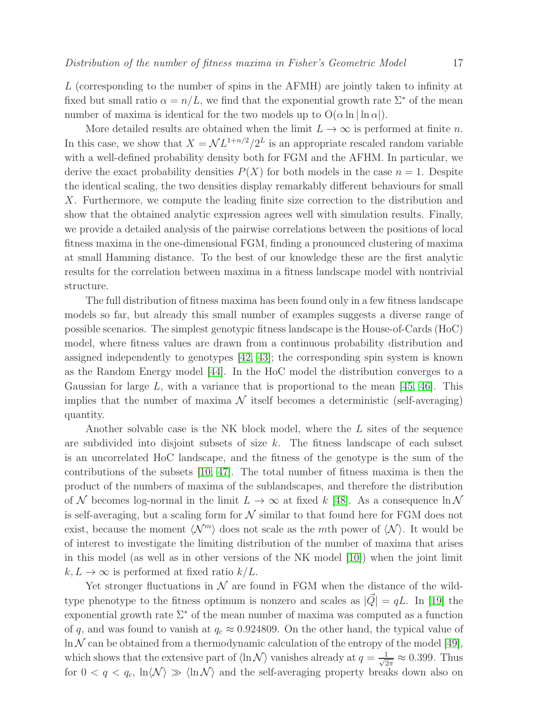L (corresponding to the number of spins in the AFMH) are jointly taken to infinity at fixed but small ratio  $\alpha = n/L$ , we find that the exponential growth rate  $\Sigma^*$  of the mean number of maxima is identical for the two models up to  $O(\alpha \ln |\ln \alpha|)$ .

More detailed results are obtained when the limit  $L \to \infty$  is performed at finite n. In this case, we show that  $X = \mathcal{N}L^{1+n/2}/2^L$  is an appropriate rescaled random variable with a well-defined probability density both for FGM and the AFHM. In particular, we derive the exact probability densities  $P(X)$  for both models in the case  $n = 1$ . Despite the identical scaling, the two densities display remarkably different behaviours for small X. Furthermore, we compute the leading finite size correction to the distribution and show that the obtained analytic expression agrees well with simulation results. Finally, we provide a detailed analysis of the pairwise correlations between the positions of local fitness maxima in the one-dimensional FGM, finding a pronounced clustering of maxima at small Hamming distance. To the best of our knowledge these are the first analytic results for the correlation between maxima in a fitness landscape model with nontrivial structure.

The full distribution of fitness maxima has been found only in a few fitness landscape models so far, but already this small number of examples suggests a diverse range of possible scenarios. The simplest genotypic fitness landscape is the House-of-Cards (HoC) model, where fitness values are drawn from a continuous probability distribution and assigned independently to genotypes [\[42,](#page-34-16) [43\]](#page-34-17); the corresponding spin system is known as the Random Energy model [\[44\]](#page-34-18). In the HoC model the distribution converges to a Gaussian for large  $L$ , with a variance that is proportional to the mean [\[45,](#page-34-19) [46\]](#page-34-20). This implies that the number of maxima  $\mathcal N$  itself becomes a deterministic (self-averaging) quantity.

Another solvable case is the NK block model, where the L sites of the sequence are subdivided into disjoint subsets of size  $k$ . The fitness landscape of each subset is an uncorrelated HoC landscape, and the fitness of the genotype is the sum of the contributions of the subsets [\[10,](#page-33-8) [47\]](#page-34-21). The total number of fitness maxima is then the product of the numbers of maxima of the sublandscapes, and therefore the distribution of N becomes log-normal in the limit  $L \to \infty$  at fixed k [\[48\]](#page-34-22). As a consequence  $\ln N$ is self-averaging, but a scaling form for  $N$  similar to that found here for FGM does not exist, because the moment  $\langle \mathcal{N}^m \rangle$  does not scale as the mth power of  $\langle \mathcal{N} \rangle$ . It would be of interest to investigate the limiting distribution of the number of maxima that arises in this model (as well as in other versions of the NK model [\[10\]](#page-33-8)) when the joint limit  $k, L \to \infty$  is performed at fixed ratio  $k/L$ .

Yet stronger fluctuations in  $\mathcal N$  are found in FGM when the distance of the wildtype phenotype to the fitness optimum is nonzero and scales as  $|Q| = qL$ . In [\[19\]](#page-33-17) the exponential growth rate  $\Sigma^*$  of the mean number of maxima was computed as a function of q, and was found to vanish at  $q_c \approx 0.924809$ . On the other hand, the typical value of  $\ln N$  can be obtained from a thermodynamic calculation of the entropy of the model [\[49\]](#page-34-23), which shows that the extensive part of  $\langle \ln N \rangle$  vanishes already at  $q = \frac{1}{\sqrt{2}}$  $\frac{1}{2\pi} \approx 0.399$ . Thus for  $0 < q < q_c$ ,  $\ln \langle N \rangle \gg \langle \ln N \rangle$  and the self-averaging property breaks down also on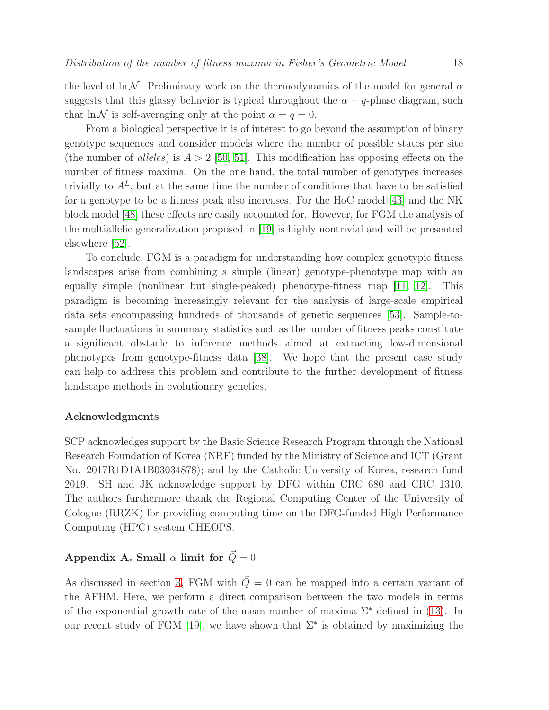the level of ln N. Preliminary work on the thermodynamics of the model for general  $\alpha$ suggests that this glassy behavior is typical throughout the  $\alpha - q$ -phase diagram, such that  $\ln N$  is self-averaging only at the point  $\alpha = q = 0$ .

From a biological perspective it is of interest to go beyond the assumption of binary genotype sequences and consider models where the number of possible states per site (the number of alleles) is  $A > 2$  [\[50,](#page-34-24) [51\]](#page-35-0). This modification has opposing effects on the number of fitness maxima. On the one hand, the total number of genotypes increases trivially to  $A<sup>L</sup>$ , but at the same time the number of conditions that have to be satisfied for a genotype to be a fitness peak also increases. For the HoC model [\[43\]](#page-34-17) and the NK block model [\[48\]](#page-34-22) these effects are easily accounted for. However, for FGM the analysis of the multiallelic generalization proposed in [\[19\]](#page-33-17) is highly nontrivial and will be presented elsewhere [\[52\]](#page-35-1).

To conclude, FGM is a paradigm for understanding how complex genotypic fitness landscapes arise from combining a simple (linear) genotype-phenotype map with an equally simple (nonlinear but single-peaked) phenotype-fitness map [\[11,](#page-33-9) [12\]](#page-33-10). This paradigm is becoming increasingly relevant for the analysis of large-scale empirical data sets encompassing hundreds of thousands of genetic sequences [\[53\]](#page-35-2). Sample-tosample fluctuations in summary statistics such as the number of fitness peaks constitute a significant obstacle to inference methods aimed at extracting low-dimensional phenotypes from genotype-fitness data [\[38\]](#page-34-12). We hope that the present case study can help to address this problem and contribute to the further development of fitness landscape methods in evolutionary genetics.

## Acknowledgments

SCP acknowledges support by the Basic Science Research Program through the National Research Foundation of Korea (NRF) funded by the Ministry of Science and ICT (Grant No. 2017R1D1A1B03034878); and by the Catholic University of Korea, research fund 2019. SH and JK acknowledge support by DFG within CRC 680 and CRC 1310. The authors furthermore thank the Regional Computing Center of the University of Cologne (RRZK) for providing computing time on the DFG-funded High Performance Computing (HPC) system CHEOPS.

## <span id="page-17-0"></span>Appendix A. Small  $\alpha$  limit for  $\vec{Q}=0$

As discussed in section [3,](#page-3-3) FGM with  $\vec{Q} = 0$  can be mapped into a certain variant of the AFHM. Here, we perform a direct comparison between the two models in terms of the exponential growth rate of the mean number of maxima  $\Sigma^*$  defined in [\(13\)](#page-5-3). In our recent study of FGM [\[19\]](#page-33-17), we have shown that  $\Sigma^*$  is obtained by maximizing the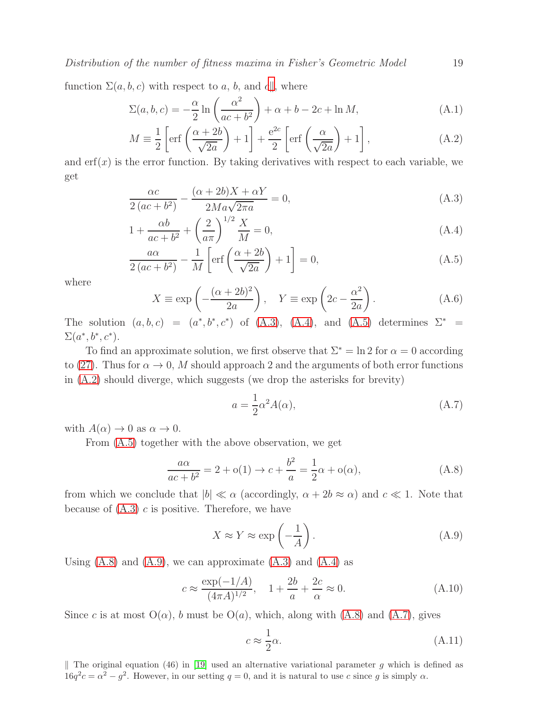Distribution of the number of fitness maxima in Fisher's Geometric Model 19

function  $\Sigma(a, b, c)$  with respect to a, b, and c,, where

<span id="page-18-2"></span>
$$
\Sigma(a,b,c) = -\frac{\alpha}{2} \ln \left( \frac{\alpha^2}{ac+b^2} \right) + \alpha + b - 2c + \ln M, \tag{A.1}
$$

$$
M \equiv \frac{1}{2} \left[ \text{erf}\left(\frac{\alpha + 2b}{\sqrt{2a}}\right) + 1 \right] + \frac{e^{2c}}{2} \left[ \text{erf}\left(\frac{\alpha}{\sqrt{2a}}\right) + 1 \right],\tag{A.2}
$$

and  $\text{erf}(x)$  is the error function. By taking derivatives with respect to each variable, we get

<span id="page-18-1"></span>
$$
\frac{\alpha c}{2\left(ac+b^2\right)} - \frac{(\alpha+2b)X + \alpha Y}{2Ma\sqrt{2\pi a}} = 0,
$$
\n(A.3)

$$
1 + \frac{\alpha b}{ac + b^2} + \left(\frac{2}{a\pi}\right)^{1/2} \frac{X}{M} = 0,
$$
\n(A.4)

$$
\frac{a\alpha}{2\left(ac+b^2\right)} - \frac{1}{M}\left[\text{erf}\left(\frac{\alpha+2b}{\sqrt{2a}}\right) + 1\right] = 0,\tag{A.5}
$$

where

$$
X \equiv \exp\left(-\frac{(\alpha + 2b)^2}{2a}\right), \quad Y \equiv \exp\left(2c - \frac{\alpha^2}{2a}\right). \tag{A.6}
$$

The solution  $(a, b, c) = (a^*, b^*, c^*)$  of  $(A.3)$ ,  $(A.4)$ , and  $(A.5)$  determines  $\Sigma^* =$  $\Sigma(a^*,b^*,c^*)$ .

To find an approximate solution, we first observe that  $\Sigma^* = \ln 2$  for  $\alpha = 0$  according to [\(27\)](#page-7-2). Thus for  $\alpha \to 0$ , M should approach 2 and the arguments of both error functions in [\(A.2\)](#page-18-2) should diverge, which suggests (we drop the asterisks for brevity)

<span id="page-18-5"></span><span id="page-18-3"></span>
$$
a = \frac{1}{2}\alpha^2 A(\alpha),\tag{A.7}
$$

with  $A(\alpha) \to 0$  as  $\alpha \to 0$ .

From [\(A.5\)](#page-18-1) together with the above observation, we get

$$
\frac{a\alpha}{ac+b^2} = 2 + o(1) \rightarrow c + \frac{b^2}{a} = \frac{1}{2}\alpha + o(\alpha),\tag{A.8}
$$

from which we conclude that  $|b| \ll \alpha$  (accordingly,  $\alpha + 2b \approx \alpha$ ) and  $c \ll 1$ . Note that because of  $(A.3)$  c is positive. Therefore, we have

<span id="page-18-4"></span>
$$
X \approx Y \approx \exp\left(-\frac{1}{A}\right). \tag{A.9}
$$

Using  $(A.8)$  and  $(A.9)$ , we can approximate  $(A.3)$  and  $(A.4)$  as

$$
c \approx \frac{\exp(-1/A)}{(4\pi A)^{1/2}}, \quad 1 + \frac{2b}{a} + \frac{2c}{\alpha} \approx 0.
$$
 (A.10)

Since c is at most  $O(\alpha)$ , b must be  $O(a)$ , which, along with  $(A.8)$  and  $(A.7)$ , gives

<span id="page-18-6"></span>
$$
c \approx \frac{1}{2}\alpha. \tag{A.11}
$$

<span id="page-18-0"></span>|| The original equation (46) in [\[19\]](#page-33-17) used an alternative variational parameter g which is defined as  $16q^2c = \alpha^2 - g^2$ . However, in our setting  $q = 0$ , and it is natural to use c since g is simply  $\alpha$ .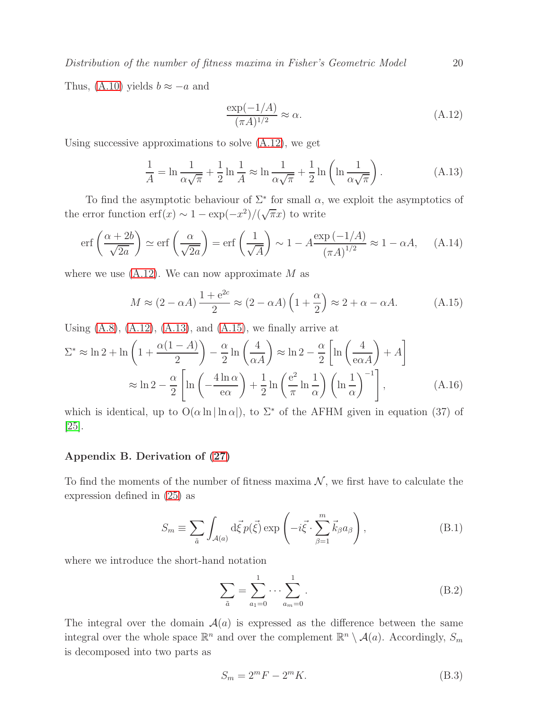Distribution of the number of fitness maxima in Fisher's Geometric Model 20

Thus, [\(A.10\)](#page-18-6) yields  $b \approx -a$  and

<span id="page-19-3"></span><span id="page-19-2"></span><span id="page-19-1"></span>
$$
\frac{\exp(-1/A)}{(\pi A)^{1/2}} \approx \alpha.
$$
\n(A.12)

Using successive approximations to solve  $(A.12)$ , we get

$$
\frac{1}{A} = \ln \frac{1}{\alpha \sqrt{\pi}} + \frac{1}{2} \ln \frac{1}{A} \approx \ln \frac{1}{\alpha \sqrt{\pi}} + \frac{1}{2} \ln \left( \ln \frac{1}{\alpha \sqrt{\pi}} \right). \tag{A.13}
$$

To find the asymptotic behaviour of  $\Sigma^*$  for small  $\alpha$ , we exploit the asymptotics of the error function  $\mathrm{erf}(x) \sim 1 - \exp(-x^2) / (\sqrt{\pi}x)$  to write

$$
\operatorname{erf}\left(\frac{\alpha+2b}{\sqrt{2a}}\right) \simeq \operatorname{erf}\left(\frac{\alpha}{\sqrt{2a}}\right) = \operatorname{erf}\left(\frac{1}{\sqrt{A}}\right) \sim 1 - A \frac{\exp\left(-1/A\right)}{\left(\pi A\right)^{1/2}} \approx 1 - \alpha A, \quad \text{(A.14)}
$$

where we use  $(A.12)$ . We can now approximate M as

$$
M \approx (2 - \alpha A) \frac{1 + e^{2c}}{2} \approx (2 - \alpha A) \left( 1 + \frac{\alpha}{2} \right) \approx 2 + \alpha - \alpha A. \tag{A.15}
$$

Using  $(A.8)$ ,  $(A.12)$ ,  $(A.13)$ , and  $(A.15)$ , we finally arrive at

$$
\Sigma^* \approx \ln 2 + \ln \left( 1 + \frac{\alpha (1 - A)}{2} \right) - \frac{\alpha}{2} \ln \left( \frac{4}{\alpha A} \right) \approx \ln 2 - \frac{\alpha}{2} \left[ \ln \left( \frac{4}{\alpha A} \right) + A \right]
$$

$$
\approx \ln 2 - \frac{\alpha}{2} \left[ \ln \left( -\frac{4 \ln \alpha}{\alpha \alpha} \right) + \frac{1}{2} \ln \left( \frac{e^2}{\pi} \ln \frac{1}{\alpha} \right) \left( \ln \frac{1}{\alpha} \right)^{-1} \right], \tag{A.16}
$$

which is identical, up to  $O(\alpha \ln |\ln \alpha|)$ , to  $\Sigma^*$  of the AFHM given in equation (37) of [\[25\]](#page-33-23).

### <span id="page-19-0"></span>Appendix B. Derivation of [\(27\)](#page-7-2)

To find the moments of the number of fitness maxima  $\mathcal{N}$ , we first have to calculate the expression defined in [\(25\)](#page-7-3) as

$$
S_m \equiv \sum_{\vec{a}} \int_{\mathcal{A}(a)} d\vec{\xi} \, p(\vec{\xi}) \exp\left(-i\vec{\xi} \cdot \sum_{\beta=1}^m \vec{k}_{\beta} a_{\beta}\right),\tag{B.1}
$$

where we introduce the short-hand notation

$$
\sum_{\tilde{a}} = \sum_{a_1=0}^{1} \cdots \sum_{a_m=0}^{1} .
$$
 (B.2)

The integral over the domain  $A(a)$  is expressed as the difference between the same integral over the whole space  $\mathbb{R}^n$  and over the complement  $\mathbb{R}^n \setminus \mathcal{A}(a)$ . Accordingly,  $S_m$ is decomposed into two parts as

$$
S_m = 2^m F - 2^m K. \tag{B.3}
$$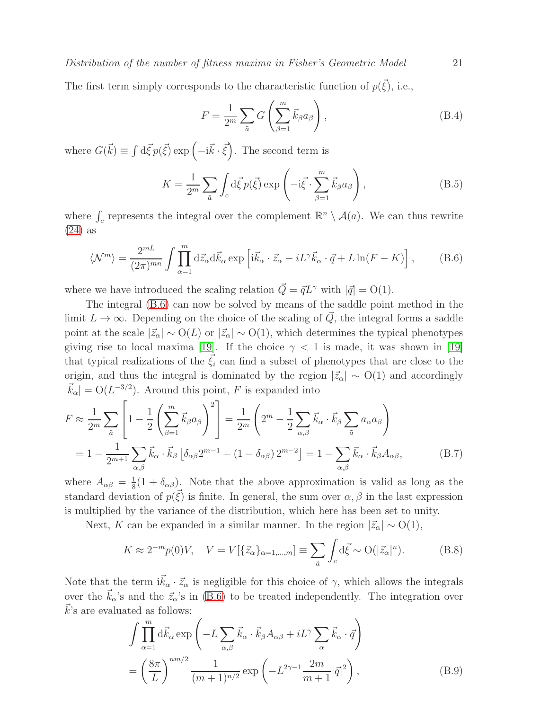The first term simply corresponds to the characteristic function of  $p(\vec{\xi})$ , i.e.,

$$
F = \frac{1}{2^m} \sum_{\tilde{a}} G\left(\sum_{\beta=1}^m \vec{k}_{\beta} a_{\beta}\right),\tag{B.4}
$$

where  $G(\vec{k}) \equiv \int d\vec{\xi} p(\vec{\xi}) \exp(-i\vec{k} \cdot \vec{\xi})$ . The second term is

$$
K = \frac{1}{2^m} \sum_{\tilde{a}} \int_c d\vec{\xi} p(\vec{\xi}) \exp\left(-i\vec{\xi} \cdot \sum_{\beta=1}^m \vec{k}_{\beta} a_{\beta}\right),\tag{B.5}
$$

where  $\int_c$  represents the integral over the complement  $\mathbb{R}^n \setminus \mathcal{A}(a)$ . We can thus rewrite [\(24\)](#page-6-0) as

<span id="page-20-0"></span>
$$
\langle \mathcal{N}^m \rangle = \frac{2^{mL}}{(2\pi)^{mn}} \int \prod_{\alpha=1}^m \mathrm{d}\vec{z}_{\alpha} \mathrm{d}\vec{k}_{\alpha} \exp\left[i\vec{k}_{\alpha} \cdot \vec{z}_{\alpha} - iL^{\gamma}\vec{k}_{\alpha} \cdot \vec{q} + L\ln(F - K)\right],\tag{B.6}
$$

where we have introduced the scaling relation  $\vec{Q} = \vec{q} L^{\gamma}$  with  $|\vec{q}| = O(1)$ .

The integral [\(B.6\)](#page-20-0) can now be solved by means of the saddle point method in the limit  $L \to \infty$ . Depending on the choice of the scaling of  $\vec{Q}$ , the integral forms a saddle point at the scale  $|\vec{z}_\alpha| \sim O(L)$  or  $|\vec{z}_\alpha| \sim O(1)$ , which determines the typical phenotypes giving rise to local maxima [\[19\]](#page-33-17). If the choice  $\gamma$  < 1 is made, it was shown in [19] that typical realizations of the  $\xi_i$  can find a subset of phenotypes that are close to the origin, and thus the integral is dominated by the region  $|\vec{z}_\alpha| \sim O(1)$  and accordingly  $|\vec{k}_{\alpha}| = O(L^{-3/2})$ . Around this point, F is expanded into

$$
F \approx \frac{1}{2^m} \sum_{\tilde{a}} \left[ 1 - \frac{1}{2} \left( \sum_{\beta=1}^m \vec{k}_{\beta} a_{\beta} \right)^2 \right] = \frac{1}{2^m} \left( 2^m - \frac{1}{2} \sum_{\alpha,\beta} \vec{k}_{\alpha} \cdot \vec{k}_{\beta} \sum_{\tilde{a}} a_{\alpha} a_{\beta} \right)
$$

$$
= 1 - \frac{1}{2^{m+1}} \sum_{\alpha,\beta} \vec{k}_{\alpha} \cdot \vec{k}_{\beta} \left[ \delta_{\alpha\beta} 2^{m-1} + (1 - \delta_{\alpha\beta}) 2^{m-2} \right] = 1 - \sum_{\alpha,\beta} \vec{k}_{\alpha} \cdot \vec{k}_{\beta} A_{\alpha\beta}, \tag{B.7}
$$

where  $A_{\alpha\beta} = \frac{1}{8}$  $\frac{1}{8}(1+\delta_{\alpha\beta})$ . Note that the above approximation is valid as long as the standard deviation of  $p(\vec{\xi})$  is finite. In general, the sum over  $\alpha, \beta$  in the last expression is multiplied by the variance of the distribution, which here has been set to unity.

Next, K can be expanded in a similar manner. In the region  $|\vec{z}_\alpha| \sim O(1)$ ,

<span id="page-20-2"></span>
$$
K \approx 2^{-m} p(0)V, \quad V = V[\{\vec{z}_{\alpha}\}_{\alpha=1,\dots,m}] \equiv \sum_{\tilde{a}} \int_{c} d\vec{\xi} \sim O(|\vec{z}_{\alpha}|^{n}). \tag{B.8}
$$

Note that the term  $i\vec{k}_{\alpha} \cdot \vec{z}_{\alpha}$  is negligible for this choice of  $\gamma$ , which allows the integrals over the  $\vec{k}_{\alpha}$ 's and the  $\vec{z}_{\alpha}$ 's in [\(B.6\)](#page-20-0) to be treated independently. The integration over  $k$ 's are evaluated as follows:

$$
\int \prod_{\alpha=1}^{m} d\vec{k}_{\alpha} \exp\left(-L \sum_{\alpha,\beta} \vec{k}_{\alpha} \cdot \vec{k}_{\beta} A_{\alpha\beta} + iL^{\gamma} \sum_{\alpha} \vec{k}_{\alpha} \cdot \vec{q}\right)
$$
\n
$$
= \left(\frac{8\pi}{L}\right)^{nm/2} \frac{1}{(m+1)^{n/2}} \exp\left(-L^{2\gamma-1} \frac{2m}{m+1} |\vec{q}|^{2}\right),
$$
\n(B.9)

<span id="page-20-1"></span>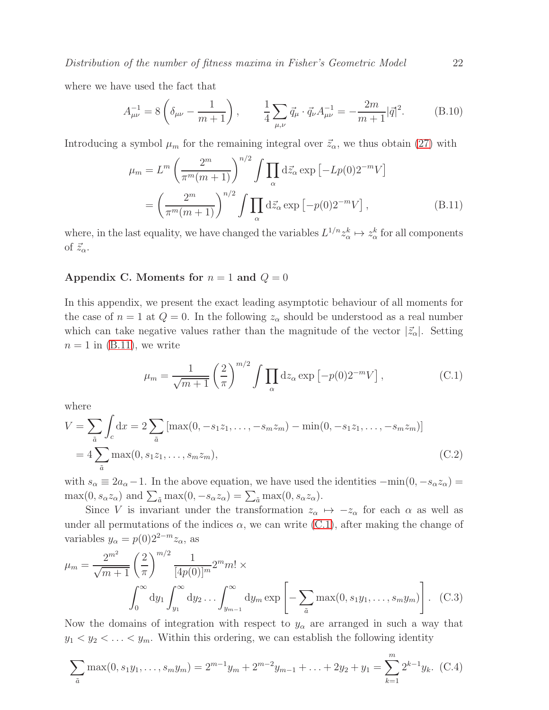Distribution of the number of fitness maxima in Fisher's Geometric Model 22

where we have used the fact that

$$
A_{\mu\nu}^{-1} = 8\left(\delta_{\mu\nu} - \frac{1}{m+1}\right), \qquad \frac{1}{4} \sum_{\mu,\nu} \vec{q}_{\mu} \cdot \vec{q}_{\nu} A_{\mu\nu}^{-1} = -\frac{2m}{m+1} |\vec{q}|^2. \tag{B.10}
$$

Introducing a symbol  $\mu_m$  for the remaining integral over  $\vec{z}_\alpha$ , we thus obtain [\(27\)](#page-7-2) with

<span id="page-21-0"></span>
$$
\mu_m = L^m \left(\frac{2^m}{\pi^m(m+1)}\right)^{n/2} \int \prod_{\alpha} d\vec{z}_{\alpha} \exp\left[-Lp(0)2^{-m}V\right]
$$

$$
= \left(\frac{2^m}{\pi^m(m+1)}\right)^{n/2} \int \prod_{\alpha} d\vec{z}_{\alpha} \exp\left[-p(0)2^{-m}V\right],\tag{B.11}
$$

where, in the last equality, we have changed the variables  $L^{1/n} z^k_\alpha \mapsto z^k_\alpha$  for all components of  $\vec{z}_\alpha$ .

## <span id="page-21-1"></span>Appendix C. Moments for  $n = 1$  and  $Q = 0$

In this appendix, we present the exact leading asymptotic behaviour of all moments for the case of  $n = 1$  at  $Q = 0$ . In the following  $z_{\alpha}$  should be understood as a real number which can take negative values rather than the magnitude of the vector  $|\vec{z}_\alpha|$ . Setting  $n = 1$  in [\(B.11\)](#page-21-0), we write

<span id="page-21-2"></span>
$$
\mu_m = \frac{1}{\sqrt{m+1}} \left(\frac{2}{\pi}\right)^{m/2} \int \prod_{\alpha} dz_{\alpha} \exp\left[-p(0)2^{-m}V\right],\tag{C.1}
$$

where

$$
V = \sum_{\tilde{a}} \int_{c} dx = 2 \sum_{\tilde{a}} \left[ \max(0, -s_1 z_1, \dots, -s_m z_m) - \min(0, -s_1 z_1, \dots, -s_m z_m) \right]
$$
  
=  $4 \sum_{\tilde{a}} \max(0, s_1 z_1, \dots, s_m z_m),$  (C.2)

with  $s_{\alpha} \equiv 2a_{\alpha}-1$ . In the above equation, we have used the identities  $-\min(0, -s_{\alpha}z_{\alpha}) =$  $\max(0, s_\alpha z_\alpha)$  and  $\sum_{\tilde{a}} \max(0, -s_\alpha z_\alpha) = \sum_{\tilde{a}} \max(0, s_\alpha z_\alpha)$ .

Since V is invariant under the transformation  $z_{\alpha} \mapsto -z_{\alpha}$  for each  $\alpha$  as well as under all permutations of the indices  $\alpha$ , we can write [\(C.1\)](#page-21-2), after making the change of variables  $y_{\alpha} = p(0)2^{2-m}z_{\alpha}$ , as

<span id="page-21-3"></span>
$$
\mu_m = \frac{2^{m^2}}{\sqrt{m+1}} \left(\frac{2}{\pi}\right)^{m/2} \frac{1}{[4p(0)]^m} 2^m m! \times \int_0^\infty dy_1 \int_{y_1}^\infty dy_2 \dots \int_{y_{m-1}}^\infty dy_m \exp\left[-\sum_{\tilde{a}} \max(0, s_1 y_1, \dots, s_m y_m)\right].
$$
 (C.3)

Now the domains of integration with respect to  $y_\alpha$  are arranged in such a way that  $y_1 < y_2 < \ldots < y_m$ . Within this ordering, we can establish the following identity

$$
\sum_{\tilde{a}} \max(0, s_1 y_1, \dots, s_m y_m) = 2^{m-1} y_m + 2^{m-2} y_{m-1} + \dots + 2 y_2 + y_1 = \sum_{k=1}^m 2^{k-1} y_k.
$$
 (C.4)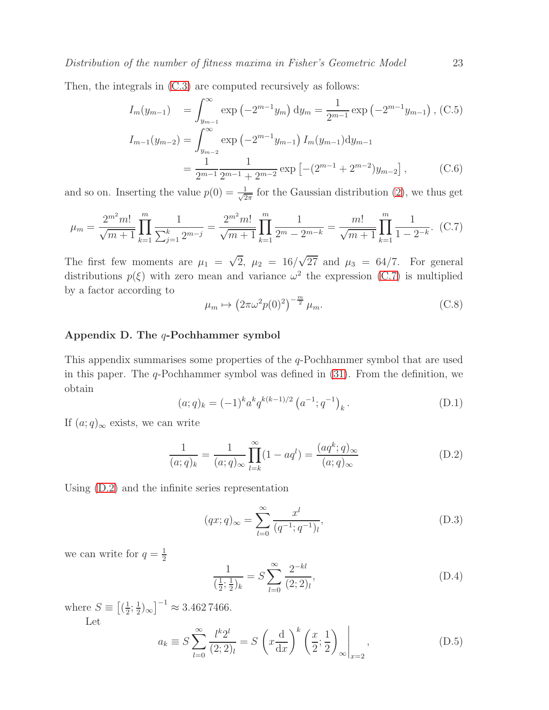Then, the integrals in [\(C.3\)](#page-21-3) are computed recursively as follows:

$$
I_m(y_{m-1}) = \int_{y_{m-1}}^{\infty} \exp\left(-2^{m-1}y_m\right) dy_m = \frac{1}{2^{m-1}} \exp\left(-2^{m-1}y_{m-1}\right), \text{(C.5)}
$$

$$
I_{m-1}(y_{m-2}) = \int_{y_{m-2}}^{\infty} \exp\left(-2^{m-1}y_{m-1}\right) I_m(y_{m-1}) dy_{m-1}
$$

$$
= \frac{1}{2^{m-1}} \frac{1}{2^{m-1} + 2^{m-2}} \exp\left[-(2^{m-1} + 2^{m-2})y_{m-2}\right], \text{(C.6)}
$$

and so on. Inserting the value  $p(0) = \frac{1}{\sqrt{2}}$  $\frac{1}{2\pi}$  for the Gaussian distribution [\(2\)](#page-3-0), we thus get

$$
\mu_m = \frac{2^{m^2} m!}{\sqrt{m+1}} \prod_{k=1}^m \frac{1}{\sum_{j=1}^k 2^{m-j}} = \frac{2^{m^2} m!}{\sqrt{m+1}} \prod_{k=1}^m \frac{1}{2^m - 2^{m-k}} = \frac{m!}{\sqrt{m+1}} \prod_{k=1}^m \frac{1}{1 - 2^{-k}}. \tag{C.7}
$$

The first few moments are  $\mu_1 = \sqrt{2}$ ,  $\mu_2 = 16/\sqrt{27}$  and  $\mu_3 = 64/7$ . For general distributions  $p(\xi)$  with zero mean and variance  $\omega^2$  the expression [\(C.7\)](#page-22-3) is multiplied by a factor according to

<span id="page-22-3"></span><span id="page-22-2"></span>
$$
\mu_m \mapsto \left(2\pi\omega^2 p(0)^2\right)^{-\frac{m}{2}} \mu_m. \tag{C.8}
$$

## <span id="page-22-0"></span>Appendix D. The q-Pochhammer symbol

This appendix summarises some properties of the q-Pochhammer symbol that are used in this paper. The  $q$ -Pochhammer symbol was defined in  $(31)$ . From the definition, we obtain

<span id="page-22-4"></span>
$$
(a;q)_k = (-1)^k a^k q^{k(k-1)/2} (a^{-1}; q^{-1})_k.
$$
 (D.1)

If  $(a;q)_{\infty}$  exists, we can write

$$
\frac{1}{(a;q)_k} = \frac{1}{(a;q)_\infty} \prod_{l=k}^\infty (1 - aq^l) = \frac{(aq^k;q)_\infty}{(a;q)_\infty}
$$
(D.2)

Using [\(D.2\)](#page-22-4) and the infinite series representation

<span id="page-22-5"></span>
$$
(qx;q)_{\infty} = \sum_{l=0}^{\infty} \frac{x^l}{(q^{-1};q^{-1})_l},
$$
\n(D.3)

we can write for  $q=\frac{1}{2}$ 2

<span id="page-22-1"></span>
$$
\frac{1}{(\frac{1}{2};\frac{1}{2})_k} = S \sum_{l=0}^{\infty} \frac{2^{-kl}}{(2;2)_l},\tag{D.4}
$$

where  $S \equiv \left[\left(\frac{1}{2}\right)$  $\frac{1}{2}$ ;  $\frac{1}{2}$  $(\frac{1}{2})_{\infty}$ ]<sup>-1</sup>  $\approx 3.4627466$ . Let

$$
a_k \equiv S \sum_{l=0}^{\infty} \frac{l^k 2^l}{(2;2)_l} = S \left( x \frac{d}{dx} \right)^k \left( \frac{x}{2}; \frac{1}{2} \right)_{\infty} \Big|_{x=2}, \tag{D.5}
$$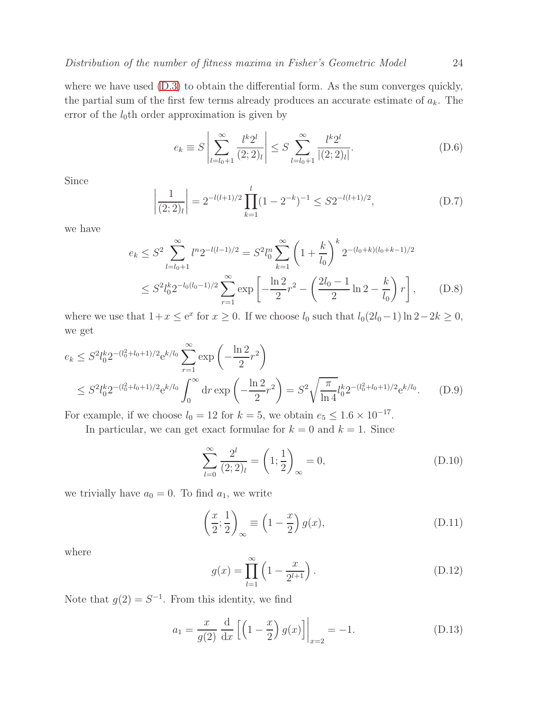where we have used  $(D.3)$  to obtain the differential form. As the sum converges quickly, the partial sum of the first few terms already produces an accurate estimate of  $a_k$ . The error of the  $l_0$ th order approximation is given by

$$
e_k \equiv S \left| \sum_{l=l_0+1}^{\infty} \frac{l^k 2^l}{(2;2)_l} \right| \le S \sum_{l=l_0+1}^{\infty} \frac{l^k 2^l}{|(2;2)_l|}.
$$
 (D.6)

Since

$$
\frac{1}{(2;2)_l} = 2^{-l(l+1)/2} \prod_{k=1}^l (1 - 2^{-k})^{-1} \le S 2^{-l(l+1)/2},
$$
\n(D.7)

we have

$$
e_k \le S^2 \sum_{l=l_0+1}^{\infty} l^n 2^{-l(l-1)/2} = S^2 l_0^n \sum_{k=1}^{\infty} \left( 1 + \frac{k}{l_0} \right)^k 2^{-(l_0+k)(l_0+k-1)/2}
$$
  

$$
\le S^2 l_0^k 2^{-l_0(l_0-1)/2} \sum_{r=1}^{\infty} \exp\left[ -\frac{\ln 2}{2} r^2 - \left( \frac{2l_0-1}{2} \ln 2 - \frac{k}{l_0} \right) r \right], \qquad (D.8)
$$

where we use that  $1+x \le e^x$  for  $x \ge 0$ . If we choose  $l_0$  such that  $l_0(2l_0-1)\ln 2-2k \ge 0$ , we get

$$
e_k \le S^2 l_0^k 2^{-(l_0^2 + l_0 + 1)/2} e^{k/l_0} \sum_{r=1}^{\infty} \exp\left(-\frac{\ln 2}{2} r^2\right)
$$
  

$$
\le S^2 l_0^k 2^{-(l_0^2 + l_0 + 1)/2} e^{k/l_0} \int_0^{\infty} dr \exp\left(-\frac{\ln 2}{2} r^2\right) = S^2 \sqrt{\frac{\pi}{\ln 4}} l_0^k 2^{-(l_0^2 + l_0 + 1)/2} e^{k/l_0}.
$$
 (D.9)

For example, if we choose  $l_0 = 12$  for  $k = 5$ , we obtain  $e_5 \leq 1.6 \times 10^{-17}$ .

In particular, we can get exact formulae for  $k = 0$  and  $k = 1$ . Since

$$
\sum_{l=0}^{\infty} \frac{2^l}{(2;2)_l} = \left(1; \frac{1}{2}\right)_{\infty} = 0,
$$
\n(D.10)

we trivially have  $a_0 = 0$ . To find  $a_1$ , we write

 $\begin{array}{c} \hline \end{array}$  $\overline{\phantom{a}}$  $\overline{\phantom{a}}$  $\begin{array}{c} \end{array}$ 

$$
\left(\frac{x}{2};\frac{1}{2}\right)_{\infty} \equiv \left(1-\frac{x}{2}\right)g(x),\tag{D.11}
$$

where

$$
g(x) = \prod_{l=1}^{\infty} \left( 1 - \frac{x}{2^{l+1}} \right).
$$
 (D.12)

Note that  $g(2) = S^{-1}$ . From this identity, we find

$$
a_1 = \frac{x}{g(2)} \frac{d}{dx} \left[ \left( 1 - \frac{x}{2} \right) g(x) \right] \Big|_{x=2} = -1.
$$
 (D.13)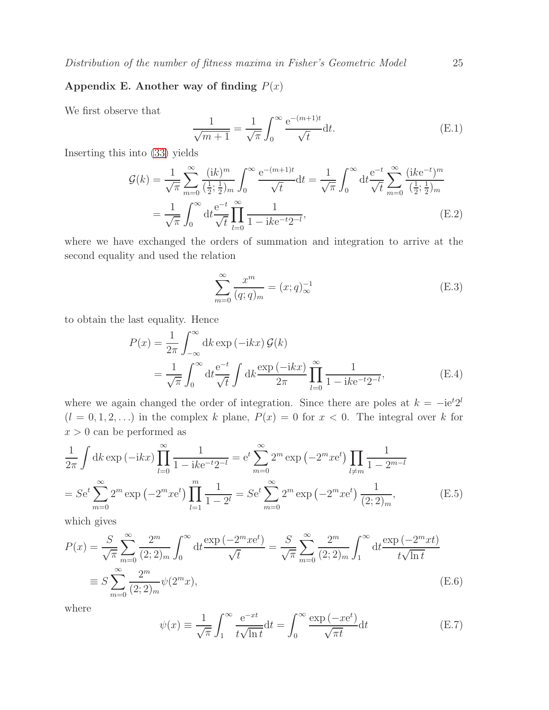## <span id="page-24-0"></span>Appendix E. Another way of finding  $P(x)$

We first observe that

$$
\frac{1}{\sqrt{m+1}} = \frac{1}{\sqrt{\pi}} \int_0^\infty \frac{e^{-(m+1)t}}{\sqrt{t}} dt.
$$
 (E.1)

Inserting this into [\(33\)](#page-8-3) yields

$$
\mathcal{G}(k) = \frac{1}{\sqrt{\pi}} \sum_{m=0}^{\infty} \frac{(ik)^m}{(\frac{1}{2}; \frac{1}{2})_m} \int_0^{\infty} \frac{e^{-(m+1)t}}{\sqrt{t}} dt = \frac{1}{\sqrt{\pi}} \int_0^{\infty} dt \frac{e^{-t}}{\sqrt{t}} \sum_{m=0}^{\infty} \frac{(ike^{-t})^m}{(\frac{1}{2}; \frac{1}{2})_m}
$$

$$
= \frac{1}{\sqrt{\pi}} \int_0^{\infty} dt \frac{e^{-t}}{\sqrt{t}} \prod_{l=0}^{\infty} \frac{1}{1 - ike^{-t}2^{-l}},
$$
(E.2)

where we have exchanged the orders of summation and integration to arrive at the second equality and used the relation

$$
\sum_{m=0}^{\infty} \frac{x^m}{(q;q)_m} = (x;q)_{\infty}^{-1}
$$
 (E.3)

to obtain the last equality. Hence

$$
P(x) = \frac{1}{2\pi} \int_{-\infty}^{\infty} dk \exp(-ikx) \mathcal{G}(k)
$$
  
= 
$$
\frac{1}{\sqrt{\pi}} \int_{0}^{\infty} dt \frac{e^{-t}}{\sqrt{t}} \int dk \frac{\exp(-ikx)}{2\pi} \prod_{l=0}^{\infty} \frac{1}{1 - ike^{-t}2^{-l}},
$$
(E.4)

where we again changed the order of integration. Since there are poles at  $k = -ie^{t}2^{l}$  $(l = 0, 1, 2, ...)$  in the complex k plane,  $P(x) = 0$  for  $x < 0$ . The integral over k for  $x > 0$  can be performed as

$$
\frac{1}{2\pi} \int \mathrm{d}k \exp\left(-ikx\right) \prod_{l=0}^{\infty} \frac{1}{1 - ike^{-t}2^{-l}} = e^t \sum_{m=0}^{\infty} 2^m \exp\left(-2^m x e^t\right) \prod_{l \neq m} \frac{1}{1 - 2^{m-l}}
$$
\n
$$
= S e^t \sum_{m=0}^{\infty} 2^m \exp\left(-2^m x e^t\right) \prod_{l=1}^m \frac{1}{1 - 2^l} = S e^t \sum_{m=0}^{\infty} 2^m \exp\left(-2^m x e^t\right) \frac{1}{(2;2)_m},\tag{E.5}
$$

which gives

<span id="page-24-1"></span>
$$
P(x) = \frac{S}{\sqrt{\pi}} \sum_{m=0}^{\infty} \frac{2^m}{(2;2)_m} \int_0^{\infty} dt \frac{\exp(-2^m x e^t)}{\sqrt{t}} = \frac{S}{\sqrt{\pi}} \sum_{m=0}^{\infty} \frac{2^m}{(2;2)_m} \int_1^{\infty} dt \frac{\exp(-2^m x t)}{t \sqrt{\ln t}}
$$
  

$$
\equiv S \sum_{m=0}^{\infty} \frac{2^m}{(2;2)_m} \psi(2^m x), \tag{E.6}
$$

where

$$
\psi(x) \equiv \frac{1}{\sqrt{\pi}} \int_1^{\infty} \frac{e^{-xt}}{t\sqrt{\ln t}} dt = \int_0^{\infty} \frac{\exp(-xe^t)}{\sqrt{\pi t}} dt
$$
(E.7)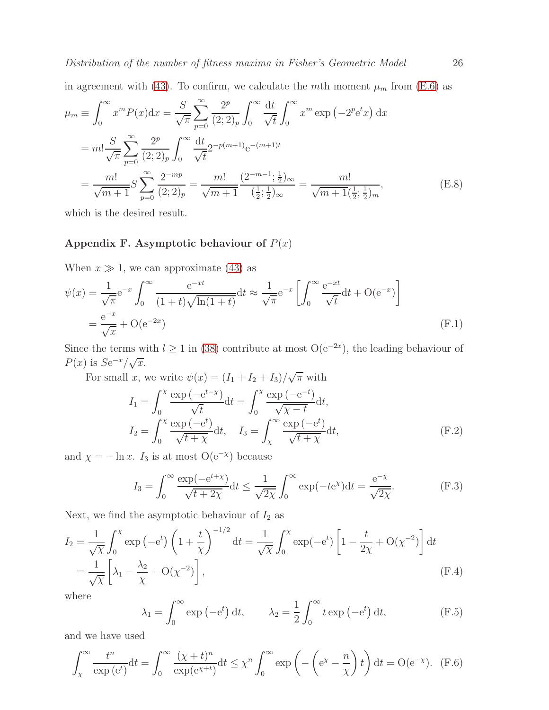in agreement with [\(43\)](#page-10-0). To confirm, we calculate the mth moment  $\mu_m$  from [\(E.6\)](#page-24-1) as

$$
\mu_m \equiv \int_0^\infty x^m P(x) dx = \frac{S}{\sqrt{\pi}} \sum_{p=0}^\infty \frac{2^p}{(2;2)_p} \int_0^\infty \frac{dt}{\sqrt{t}} \int_0^\infty x^m \exp\left(-2^p e^t x\right) dx
$$
  
\n
$$
= m! \frac{S}{\sqrt{\pi}} \sum_{p=0}^\infty \frac{2^p}{(2;2)_p} \int_0^\infty \frac{dt}{\sqrt{t}} 2^{-p(m+1)} e^{-(m+1)t}
$$
  
\n
$$
= \frac{m!}{\sqrt{m+1}} S \sum_{p=0}^\infty \frac{2^{-mp}}{(2;2)_p} = \frac{m!}{\sqrt{m+1}} \frac{(2^{-m-1};\frac{1}{2})_\infty}{(\frac{1}{2};\frac{1}{2})_\infty} = \frac{m!}{\sqrt{m+1}(\frac{1}{2};\frac{1}{2})_m},
$$
(E.8)

<span id="page-25-0"></span>which is the desired result.

## Appendix F. Asymptotic behaviour of  $P(x)$

When  $x \gg 1$ , we can approximate [\(43\)](#page-10-0) as

$$
\psi(x) = \frac{1}{\sqrt{\pi}} e^{-x} \int_0^\infty \frac{e^{-xt}}{(1+t)\sqrt{\ln(1+t)}} dt \approx \frac{1}{\sqrt{\pi}} e^{-x} \left[ \int_0^\infty \frac{e^{-xt}}{\sqrt{t}} dt + O(e^{-x}) \right]
$$
  
=  $\frac{e^{-x}}{\sqrt{x}} + O(e^{-2x})$  (F.1)

Since the terms with  $l \ge 1$  in [\(38\)](#page-9-2) contribute at most  $O(e^{-2x})$ , the leading behaviour of  $P(x)$  is  $Se^{-x}/\sqrt{x}$ .

For small x, we write  $\psi(x) = (I_1 + I_2 + I_3)/\sqrt{\pi}$  with

$$
I_1 = \int_0^\chi \frac{\exp\left(-e^{t-\chi}\right)}{\sqrt{t}} dt = \int_0^\chi \frac{\exp\left(-e^{-t}\right)}{\sqrt{\chi - t}} dt,
$$
  
\n
$$
I_2 = \int_0^\chi \frac{\exp\left(-e^t\right)}{\sqrt{t+\chi}} dt, \quad I_3 = \int_\chi^\infty \frac{\exp\left(-e^t\right)}{\sqrt{t+\chi}} dt,
$$
\n(F.2)

and  $\chi = -\ln x$ . I<sub>3</sub> is at most O(e<sup>-x</sup>) because

$$
I_3 = \int_0^\infty \frac{\exp(-e^{t+x})}{\sqrt{t+2\chi}} dt \le \frac{1}{\sqrt{2\chi}} \int_0^\infty \exp(-t e^{\chi}) dt = \frac{e^{-\chi}}{\sqrt{2\chi}}.
$$
 (F.3)

Next, we find the asymptotic behaviour of  $I_2$  as

$$
I_2 = \frac{1}{\sqrt{\chi}} \int_0^\chi \exp\left(-e^t\right) \left(1 + \frac{t}{\chi}\right)^{-1/2} dt = \frac{1}{\sqrt{\chi}} \int_0^\chi \exp\left(-e^t\right) \left[1 - \frac{t}{2\chi} + O(\chi^{-2})\right] dt
$$
  
=  $\frac{1}{\sqrt{\chi}} \left[\lambda_1 - \frac{\lambda_2}{\chi} + O(\chi^{-2})\right],$  (F.4)

where

$$
\lambda_1 = \int_0^\infty \exp\left(-e^t\right) dt, \qquad \lambda_2 = \frac{1}{2} \int_0^\infty t \exp\left(-e^t\right) dt, \tag{F.5}
$$

and we have used

$$
\int_{\chi}^{\infty} \frac{t^n}{\exp(e^t)} dt = \int_{0}^{\infty} \frac{(\chi + t)^n}{\exp(e^{\chi + t})} dt \leq \chi^n \int_{0}^{\infty} \exp\left(-\left(e^{\chi} - \frac{n}{\chi}\right)t\right) dt = O(e^{-\chi}). \tag{F.6}
$$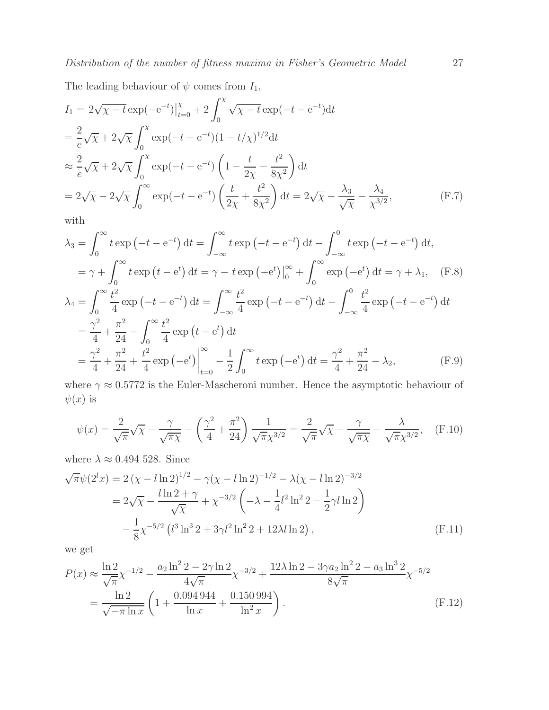The leading behaviour of  $\psi$  comes from  $I_1$ ,

$$
I_1 = 2\sqrt{\chi - t} \exp(-e^{-t})\Big|_{t=0}^{\chi} + 2\int_0^{\chi} \sqrt{\chi - t} \exp(-t - e^{-t}) dt
$$
  
\n
$$
= \frac{2}{e}\sqrt{\chi} + 2\sqrt{\chi} \int_0^{\chi} \exp(-t - e^{-t})(1 - t/\chi)^{1/2} dt
$$
  
\n
$$
\approx \frac{2}{e}\sqrt{\chi} + 2\sqrt{\chi} \int_0^{\chi} \exp(-t - e^{-t}) \left(1 - \frac{t}{2\chi} - \frac{t^2}{8\chi^2}\right) dt
$$
  
\n
$$
= 2\sqrt{\chi} - 2\sqrt{\chi} \int_0^{\infty} \exp(-t - e^{-t}) \left(\frac{t}{2\chi} + \frac{t^2}{8\chi^2}\right) dt = 2\sqrt{\chi} - \frac{\lambda_3}{\sqrt{\chi}} - \frac{\lambda_4}{\chi^{3/2}},
$$
 (F.7)

with

$$
\lambda_3 = \int_0^\infty t \exp(-t - e^{-t}) dt = \int_{-\infty}^\infty t \exp(-t - e^{-t}) dt - \int_{-\infty}^0 t \exp(-t - e^{-t}) dt,
$$
  
\n
$$
= \gamma + \int_0^\infty t \exp(t - e^{t}) dt = \gamma - t \exp(-e^{t}) \Big|_0^\infty + \int_0^\infty \exp(-e^{t}) dt = \gamma + \lambda_1, \quad (F.8)
$$
  
\n
$$
\lambda_4 = \int_0^\infty \frac{t^2}{4} \exp(-t - e^{-t}) dt = \int_{-\infty}^\infty \frac{t^2}{4} \exp(-t - e^{-t}) dt - \int_{-\infty}^0 \frac{t^2}{4} \exp(-t - e^{-t}) dt
$$
  
\n
$$
= \frac{\gamma^2}{4} + \frac{\pi^2}{24} - \int_0^\infty \frac{t^2}{4} \exp(t - e^{t}) dt
$$
  
\n
$$
= \frac{\gamma^2}{4} + \frac{\pi^2}{24} + \frac{t^2}{4} \exp(-e^{t}) \Big|_{t=0}^\infty - \frac{1}{2} \int_0^\infty t \exp(-e^{t}) dt = \frac{\gamma^2}{4} + \frac{\pi^2}{24} - \lambda_2, \quad (F.9)
$$

where  $\gamma \approx 0.5772$  is the Euler-Mascheroni number. Hence the asymptotic behaviour of  $\psi(x)$  is

$$
\psi(x) = \frac{2}{\sqrt{\pi}}\sqrt{\chi} - \frac{\gamma}{\sqrt{\pi\chi}} - \left(\frac{\gamma^2}{4} + \frac{\pi^2}{24}\right)\frac{1}{\sqrt{\pi}\chi^{3/2}} = \frac{2}{\sqrt{\pi}}\sqrt{\chi} - \frac{\gamma}{\sqrt{\pi}\chi} - \frac{\lambda}{\sqrt{\pi}\chi^{3/2}},\tag{F.10}
$$

where  $\lambda \approx 0.494$  528. Since

$$
\sqrt{\pi}\psi(2^l x) = 2\left(\chi - l\ln 2\right)^{1/2} - \gamma(\chi - l\ln 2)^{-1/2} - \lambda(\chi - l\ln 2)^{-3/2}
$$
  
=  $2\sqrt{\chi} - \frac{l\ln 2 + \gamma}{\sqrt{\chi}} + \chi^{-3/2}\left(-\lambda - \frac{1}{4}l^2\ln^2 2 - \frac{1}{2}\gamma l\ln 2\right)$   
 $-\frac{1}{8}\chi^{-5/2}\left(l^3\ln^3 2 + 3\gamma l^2\ln^2 2 + 12\lambda l\ln 2\right),$  (F.11)

we get

$$
P(x) \approx \frac{\ln 2}{\sqrt{\pi}} \chi^{-1/2} - \frac{a_2 \ln^2 2 - 2\gamma \ln 2}{4\sqrt{\pi}} \chi^{-3/2} + \frac{12\lambda \ln 2 - 3\gamma a_2 \ln^2 2 - a_3 \ln^3 2}{8\sqrt{\pi}} \chi^{-5/2}
$$
  
= 
$$
\frac{\ln 2}{\sqrt{-\pi \ln x}} \left( 1 + \frac{0.094944}{\ln x} + \frac{0.150994}{\ln^2 x} \right).
$$
 (F.12)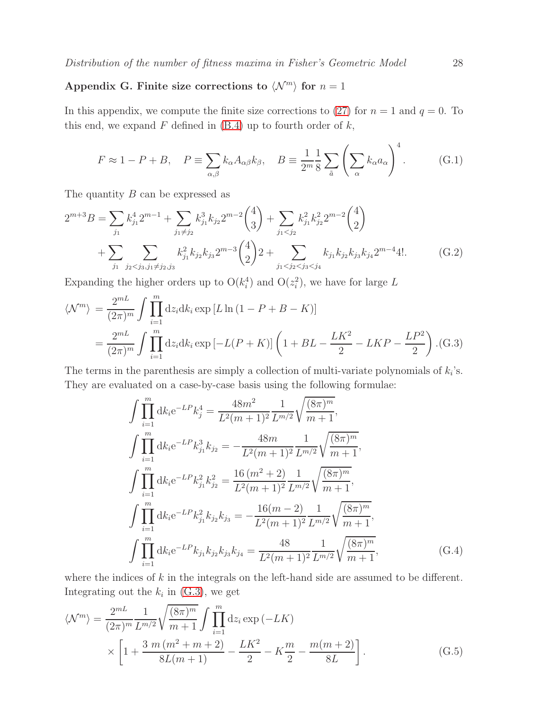## <span id="page-27-0"></span>Appendix G. Finite size corrections to  $\langle \mathcal{N}^m \rangle$  for  $n = 1$

In this appendix, we compute the finite size corrections to [\(27\)](#page-7-2) for  $n = 1$  and  $q = 0$ . To this end, we expand  $F$  defined in  $(B.4)$  up to fourth order of  $k$ ,

$$
F \approx 1 - P + B, \quad P \equiv \sum_{\alpha,\beta} k_{\alpha} A_{\alpha\beta} k_{\beta}, \quad B \equiv \frac{1}{2^m} \frac{1}{8} \sum_{\tilde{a}} \left( \sum_{\alpha} k_{\alpha} a_{\alpha} \right)^4. \tag{G.1}
$$

The quantity B can be expressed as

$$
2^{m+3}B = \sum_{j_1} k_{j_1}^4 2^{m-1} + \sum_{j_1 \neq j_2} k_{j_1}^3 k_{j_2} 2^{m-2} {4 \choose 3} + \sum_{j_1 < j_2} k_{j_1}^2 k_{j_2}^2 2^{m-2} {4 \choose 2} + \sum_{j_1} \sum_{j_2 < j_3, j_1 \neq j_2, j_3} k_{j_1}^2 k_{j_2} k_{j_3} 2^{m-3} {4 \choose 2} 2 + \sum_{j_1 < j_2 < j_3 < j_4} k_{j_1} k_{j_2} k_{j_3} k_{j_4} 2^{m-4} 4!.
$$
 (G.2)

Expanding the higher orders up to  $O(k_i^4)$  and  $O(z_i^2)$ , we have for large L

<span id="page-27-1"></span>
$$
\langle \mathcal{N}^m \rangle = \frac{2^{mL}}{(2\pi)^m} \int \prod_{i=1}^m dz_i dk_i \exp[L \ln(1 - P + B - K)]
$$
  
=  $\frac{2^{mL}}{(2\pi)^m} \int \prod_{i=1}^m dz_i dk_i \exp[-L(P + K)] \left(1 + BL - \frac{LK^2}{2} - LKP - \frac{LP^2}{2}\right)$ .(G.3)

The terms in the parenthesis are simply a collection of multi-variate polynomials of  $k_i$ 's. They are evaluated on a case-by-case basis using the following formulae:

$$
\int \prod_{i=1}^{m} dk_i e^{-LP} k_j^4 = \frac{48m^2}{L^2(m+1)^2} \frac{1}{L^{m/2}} \sqrt{\frac{(8\pi)^m}{m+1}},
$$
  

$$
\int \prod_{i=1}^{m} dk_i e^{-LP} k_{j_1}^3 k_{j_2} = -\frac{48m}{L^2(m+1)^2} \frac{1}{L^{m/2}} \sqrt{\frac{(8\pi)^m}{m+1}},
$$
  

$$
\int \prod_{i=1}^{m} dk_i e^{-LP} k_{j_1}^2 k_{j_2}^2 = \frac{16(m^2+2)}{L^2(m+1)^2} \frac{1}{L^{m/2}} \sqrt{\frac{(8\pi)^m}{m+1}},
$$
  

$$
\int \prod_{i=1}^{m} dk_i e^{-LP} k_{j_1}^2 k_{j_2} k_{j_3} = -\frac{16(m-2)}{L^2(m+1)^2} \frac{1}{L^{m/2}} \sqrt{\frac{(8\pi)^m}{m+1}},
$$
  

$$
\int \prod_{i=1}^{m} dk_i e^{-LP} k_{j_1} k_{j_2} k_{j_3} k_{j_4} = \frac{48}{L^2(m+1)^2} \frac{1}{L^{m/2}} \sqrt{\frac{(8\pi)^m}{m+1}},
$$
(G.4)

where the indices of  $k$  in the integrals on the left-hand side are assumed to be different. Integrating out the  $k_i$  in [\(G.3\)](#page-27-1), we get

$$
\langle \mathcal{N}^m \rangle = \frac{2^{mL}}{(2\pi)^m} \frac{1}{L^{m/2}} \sqrt{\frac{(8\pi)^m}{m+1}} \int \prod_{i=1}^m dz_i \exp(-LK) \times \left[ 1 + \frac{3 \ m \ (m^2 + m + 2)}{8L(m+1)} - \frac{LK^2}{2} - K\frac{m}{2} - \frac{m(m+2)}{8L} \right].
$$
\n(G.5)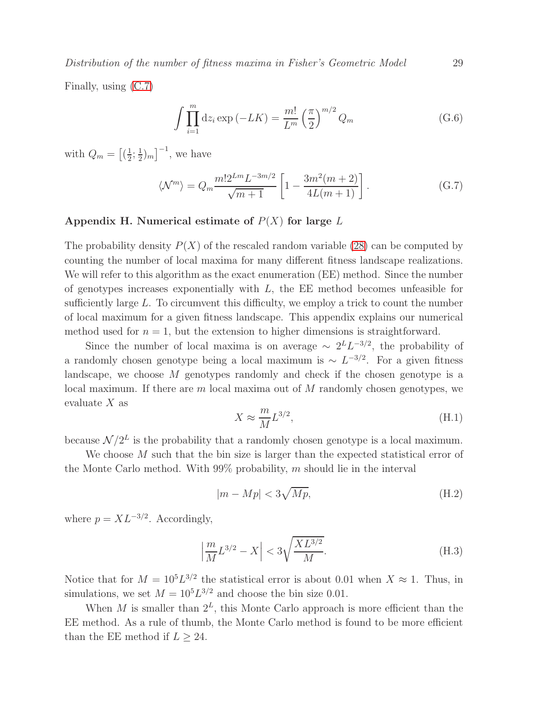Distribution of the number of fitness maxima in Fisher's Geometric Model 29

Finally, using [\(C.7\)](#page-22-3)

$$
\int \prod_{i=1}^{m} dz_i \exp(-LK) = \frac{m!}{L^m} \left(\frac{\pi}{2}\right)^{m/2} Q_m \tag{G.6}
$$

with  $Q_m = \left[\left(\frac{1}{2}\right)\right]$  $\frac{1}{2}$ ;  $\frac{1}{2}$  $(\frac{1}{2})_m$ ]<sup>-1</sup>, we have

$$
\langle \mathcal{N}^m \rangle = Q_m \frac{m! 2^{Lm} L^{-3m/2}}{\sqrt{m+1}} \left[ 1 - \frac{3m^2(m+2)}{4L(m+1)} \right]. \tag{G.7}
$$

## <span id="page-28-0"></span>Appendix H. Numerical estimate of  $P(X)$  for large L

The probability density  $P(X)$  of the rescaled random variable [\(28\)](#page-7-1) can be computed by counting the number of local maxima for many different fitness landscape realizations. We will refer to this algorithm as the exact enumeration (EE) method. Since the number of genotypes increases exponentially with  $L$ , the EE method becomes unfeasible for sufficiently large L. To circumvent this difficulty, we employ a trick to count the number of local maximum for a given fitness landscape. This appendix explains our numerical method used for  $n = 1$ , but the extension to higher dimensions is straightforward.

Since the number of local maxima is on average  $\sim 2^L L^{-3/2}$ , the probability of a randomly chosen genotype being a local maximum is  $\sim L^{-3/2}$ . For a given fitness landscape, we choose M genotypes randomly and check if the chosen genotype is a local maximum. If there are m local maxima out of M randomly chosen genotypes, we evaluate  $X$  as

$$
X \approx \frac{m}{M} L^{3/2},\tag{H.1}
$$

because  $\mathcal{N}/2^L$  is the probability that a randomly chosen genotype is a local maximum.

We choose M such that the bin size is larger than the expected statistical error of the Monte Carlo method. With  $99\%$  probability, m should lie in the interval

$$
|m - Mp| < 3\sqrt{Mp},\tag{H.2}
$$

where  $p = XL^{-3/2}$ . Accordingly,

$$
\left| \frac{m}{M} L^{3/2} - X \right| < 3 \sqrt{\frac{X L^{3/2}}{M}}. \tag{H.3}
$$

Notice that for  $M = 10^5 L^{3/2}$  the statistical error is about 0.01 when  $X \approx 1$ . Thus, in simulations, we set  $M = 10<sup>5</sup>L<sup>3/2</sup>$  and choose the bin size 0.01.

When M is smaller than  $2^L$ , this Monte Carlo approach is more efficient than the EE method. As a rule of thumb, the Monte Carlo method is found to be more efficient than the EE method if  $L \geq 24$ .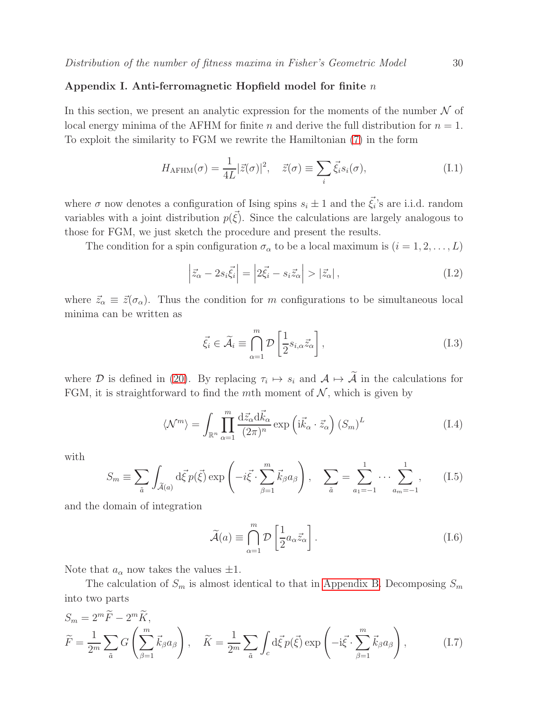#### <span id="page-29-0"></span>Appendix I. Anti-ferromagnetic Hopfield model for finite  $n$

In this section, we present an analytic expression for the moments of the number  $\mathcal N$  of local energy minima of the AFHM for finite n and derive the full distribution for  $n = 1$ . To exploit the similarity to FGM we rewrite the Hamiltonian [\(7\)](#page-4-2) in the form

$$
H_{\text{AFHM}}(\sigma) = \frac{1}{4L} |\vec{z}(\sigma)|^2, \quad \vec{z}(\sigma) \equiv \sum_{i} \vec{\xi}_i s_i(\sigma), \tag{I.1}
$$

where  $\sigma$  now denotes a configuration of Ising spins  $s_i \pm 1$  and the  $\vec{\xi}_i$ 's are i.i.d. random variables with a joint distribution  $p(\vec{\xi})$ . Since the calculations are largely analogous to those for FGM, we just sketch the procedure and present the results.

The condition for a spin configuration  $\sigma_{\alpha}$  to be a local maximum is  $(i = 1, 2, ..., L)$ 

$$
\left|\vec{z}_{\alpha} - 2s_i\vec{\xi}_i\right| = \left|2\vec{\xi}_i - s_i\vec{z}_{\alpha}\right| > \left|\vec{z}_{\alpha}\right|,\tag{I.2}
$$

where  $\vec{z}_{\alpha} \equiv \vec{z}(\sigma_{\alpha})$ . Thus the condition for m configurations to be simultaneous local minima can be written as

$$
\vec{\xi}_i \in \widetilde{\mathcal{A}}_i \equiv \bigcap_{\alpha=1}^m \mathcal{D}\left[\frac{1}{2} s_{i,\alpha} \vec{z}_{\alpha}\right],\tag{I.3}
$$

where  $\mathcal D$  is defined in [\(20\)](#page-6-1). By replacing  $\tau_i \mapsto s_i$  and  $\mathcal A \mapsto \mathcal A$  in the calculations for FGM, it is straightforward to find the mth moment of  $N$ , which is given by

$$
\langle \mathcal{N}^m \rangle = \int_{\mathbb{R}^n} \prod_{\alpha=1}^m \frac{\mathrm{d}\vec{z}_{\alpha} \mathrm{d}\vec{k}_{\alpha}}{(2\pi)^n} \exp\left(\mathrm{i}\vec{k}_{\alpha} \cdot \vec{z}_{\alpha}\right) (S_m)^L \tag{I.4}
$$

with

$$
S_m \equiv \sum_{\tilde{a}} \int_{\tilde{\mathcal{A}}(a)} d\vec{\xi} p(\vec{\xi}) \exp\left(-i\vec{\xi} \cdot \sum_{\beta=1}^m \vec{k}_{\beta} a_{\beta}\right), \quad \sum_{\tilde{a}} = \sum_{a_1=-1}^1 \cdots \sum_{a_m=-1}^1, \qquad (I.5)
$$

and the domain of integration

$$
\widetilde{\mathcal{A}}(a) \equiv \bigcap_{\alpha=1}^{m} \mathcal{D} \left[ \frac{1}{2} a_{\alpha} \vec{z}_{\alpha} \right]. \tag{I.6}
$$

Note that  $a_{\alpha}$  now takes the values  $\pm 1$ .

The calculation of  $S_m$  is almost identical to that in [Appendix B.](#page-19-0) Decomposing  $S_m$ into two parts

$$
S_m = 2^m \tilde{F} - 2^m \tilde{K},
$$
  
\n
$$
\tilde{F} = \frac{1}{2^m} \sum_{\tilde{a}} G\left(\sum_{\beta=1}^m \vec{k}_{\beta} a_{\beta}\right), \quad \tilde{K} = \frac{1}{2^m} \sum_{\tilde{a}} \int_c d\vec{\xi} p(\vec{\xi}) \exp\left(-i\vec{\xi} \cdot \sum_{\beta=1}^m \vec{k}_{\beta} a_{\beta}\right),
$$
\n(I.7)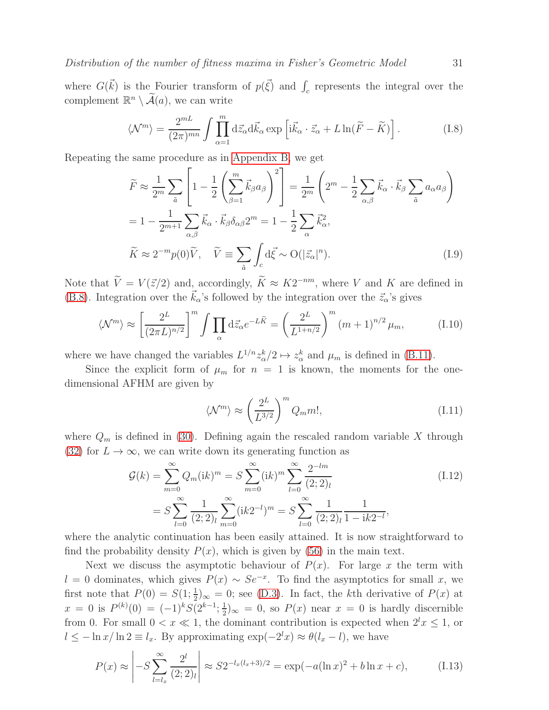Distribution of the number of fitness maxima in Fisher's Geometric Model 31

where  $G(\vec{k})$  is the Fourier transform of  $p(\vec{\xi})$  and  $\int_c$  represents the integral over the complement  $\mathbb{R}^n \setminus \widetilde{\mathcal{A}}(a)$ , we can write

$$
\langle \mathcal{N}^m \rangle = \frac{2^{mL}}{(2\pi)^{mn}} \int \prod_{\alpha=1}^m d\vec{z}_{\alpha} d\vec{k}_{\alpha} \exp\left[i\vec{k}_{\alpha} \cdot \vec{z}_{\alpha} + L \ln(\widetilde{F} - \widetilde{K})\right]. \tag{I.8}
$$

Repeating the same procedure as in [Appendix B,](#page-19-0) we get

$$
\widetilde{F} \approx \frac{1}{2^m} \sum_{\tilde{a}} \left[ 1 - \frac{1}{2} \left( \sum_{\beta=1}^m \vec{k}_{\beta} a_{\beta} \right)^2 \right] = \frac{1}{2^m} \left( 2^m - \frac{1}{2} \sum_{\alpha,\beta} \vec{k}_{\alpha} \cdot \vec{k}_{\beta} \sum_{\tilde{a}} a_{\alpha} a_{\beta} \right)
$$

$$
= 1 - \frac{1}{2^{m+1}} \sum_{\alpha,\beta} \vec{k}_{\alpha} \cdot \vec{k}_{\beta} \delta_{\alpha\beta} 2^m = 1 - \frac{1}{2} \sum_{\alpha} \vec{k}_{\alpha}^2,
$$

$$
\widetilde{K} \approx 2^{-m} p(0) \widetilde{V}, \quad \widetilde{V} \equiv \sum_{\tilde{a}} \int_{c} d\vec{\xi} \sim O(|\vec{z}_{\alpha}|^n).
$$
(I.9)

Note that  $\hat{V} = V(\vec{z}/2)$  and, accordingly,  $\hat{K} \approx K2^{-nm}$ , where V and K are defined in [\(B.8\)](#page-20-2). Integration over the  $\vec{k}_{\alpha}$ 's followed by the integration over the  $\vec{z}_{\alpha}$ 's gives

$$
\langle \mathcal{N}^m \rangle \approx \left[ \frac{2^L}{(2\pi L)^{n/2}} \right]^m \int \prod_{\alpha} d\vec{z}_{\alpha} e^{-L\widetilde{K}} = \left( \frac{2^L}{L^{1+n/2}} \right)^m (m+1)^{n/2} \mu_m, \tag{I.10}
$$

where we have changed the variables  $L^{1/n} z_{\alpha}^k/2 \mapsto z_{\alpha}^k$  and  $\mu_m$  is defined in [\(B.11\)](#page-21-0).

Since the explicit form of  $\mu_m$  for  $n = 1$  is known, the moments for the onedimensional AFHM are given by

<span id="page-30-1"></span><span id="page-30-0"></span>
$$
\langle \mathcal{N}^m \rangle \approx \left(\frac{2^L}{L^{3/2}}\right)^m Q_m m!,\tag{I.11}
$$

where  $Q_m$  is defined in [\(30\)](#page-8-0). Defining again the rescaled random variable X through [\(32\)](#page-8-4) for  $L \to \infty$ , we can write down its generating function as

$$
\mathcal{G}(k) = \sum_{m=0}^{\infty} Q_m(\mathrm{i}k)^m = S \sum_{m=0}^{\infty} (\mathrm{i}k)^m \sum_{l=0}^{\infty} \frac{2^{-lm}}{(2;2)_l}
$$
\n
$$
= S \sum_{l=0}^{\infty} \frac{1}{(2;2)_l} \sum_{m=0}^{\infty} (\mathrm{i}k2^{-l})^m = S \sum_{l=0}^{\infty} \frac{1}{(2;2)_l} \frac{1}{1 - \mathrm{i}k2^{-l}},
$$
\n(1.12)

where the analytic continuation has been easily attained. It is now straightforward to find the probability density  $P(x)$ , which is given by [\(56\)](#page-12-2) in the main text.

Next we discuss the asymptotic behaviour of  $P(x)$ . For large x the term with l = 0 dominates, which gives  $P(x) \sim Se^{-x}$ . To find the asymptotics for small x, we first note that  $P(0) = S(1; \frac{1}{2})_{\infty} = 0$ ; see [\(D.3\)](#page-22-5). In fact, the kth derivative of  $P(x)$  at  $x = 0$  is  $P^{(k)}(0) = (-1)^k S(2^{k-1}; \frac{1}{2})$  $(\frac{1}{2})_{\infty} = 0$ , so  $P(x)$  near  $x = 0$  is hardly discernible from 0. For small  $0 < x \ll 1$ , the dominant contribution is expected when  $2^l x \leq 1$ , or  $l \leq -\ln x/\ln 2 \equiv l_x$ . By approximating  $\exp(-2^l x) \approx \theta(l_x - l)$ , we have

$$
P(x) \approx \left| -S \sum_{l=l_x}^{\infty} \frac{2^l}{(2;2)_l} \right| \approx S 2^{-l_x(l_x+3)/2} = \exp(-a(\ln x)^2 + b \ln x + c), \tag{I.13}
$$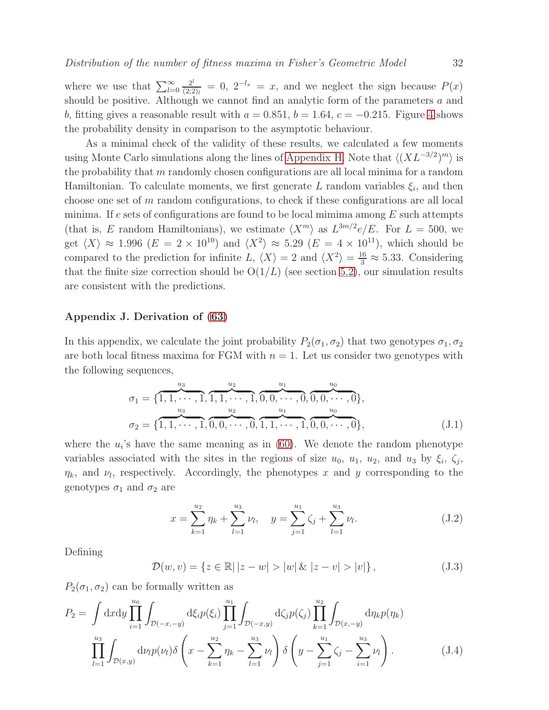where we use that  $\sum_{l=0}^{\infty}$  $2^l$  $\frac{2^l}{(2;2)_l} = 0$ ,  $2^{-l_x} = x$ , and we neglect the sign because  $P(x)$ should be positive. Although we cannot find an analytic form of the parameters a and b, fitting gives a reasonable result with  $a = 0.851$ ,  $b = 1.64$ ,  $c = -0.215$ . Figure [4](#page-13-1) shows the probability density in comparison to the asymptotic behaviour.

As a minimal check of the validity of these results, we calculated a few moments using Monte Carlo simulations along the lines of [Appendix H.](#page-28-0) Note that  $\langle (XL^{-3/2})^m \rangle$  is the probability that  $m$  randomly chosen configurations are all local minima for a random Hamiltonian. To calculate moments, we first generate L random variables  $\xi_i$ , and then choose one set of m random configurations, to check if these configurations are all local minima. If e sets of configurations are found to be local minima among  $E$  such attempts (that is, E random Hamiltonians), we estimate  $\langle X^m \rangle$  as  $L^{3m/2}e/E$ . For  $L = 500$ , we get  $\langle X \rangle \approx 1.996$   $(E = 2 \times 10^{10})$  and  $\langle X^2 \rangle \approx 5.29$   $(E = 4 \times 10^{11})$ , which should be compared to the prediction for infinite L,  $\langle X \rangle = 2$  and  $\langle X^2 \rangle = \frac{16}{3} \approx 5.33$ . Considering that the finite size correction should be  $O(1/L)$  (see section [5.2\)](#page-10-2), our simulation results are consistent with the predictions.

#### <span id="page-31-1"></span>Appendix J. Derivation of [\(63\)](#page-14-1)

In this appendix, we calculate the joint probability  $P_2(\sigma_1, \sigma_2)$  that two genotypes  $\sigma_1, \sigma_2$ are both local fitness maxima for FGM with  $n = 1$ . Let us consider two genotypes with the following sequences,

<span id="page-31-0"></span>
$$
\sigma_1 = \{ \overbrace{1, 1, \cdots, 1}^{u_3}, \overbrace{1, 1, \cdots, 1}^{u_2}, \overbrace{0, 0, \cdots, 0}^{u_1}, \overbrace{0, 0, \cdots, 0}^{u_0}, \}
$$
\n
$$
\sigma_2 = \{ \overbrace{1, 1, \cdots, 1}^{u_3}, \overbrace{0, 0, \cdots, 0}^{u_2}, \overbrace{1, 1, \cdots, 1}^{u_1}, \overbrace{0, 0, \cdots, 0}^{u_0} \},
$$
\n(J.1)

where the  $u_i$ 's have the same meaning as in [\(60\)](#page-14-2). We denote the random phenotype variables associated with the sites in the regions of size  $u_0$ ,  $u_1$ ,  $u_2$ , and  $u_3$  by  $\xi_i$ ,  $\zeta_j$ ,  $\eta_k$ , and  $\nu_l$ , respectively. Accordingly, the phenotypes x and y corresponding to the genotypes  $\sigma_1$  and  $\sigma_2$  are

$$
x = \sum_{k=1}^{u_2} \eta_k + \sum_{l=1}^{u_3} \nu_l, \quad y = \sum_{j=1}^{u_1} \zeta_j + \sum_{l=1}^{u_3} \nu_l.
$$
 (J.2)

Defining

$$
\mathcal{D}(w, v) = \{ z \in \mathbb{R} | |z - w| > |w| \& |z - v| > |v| \},\tag{J.3}
$$

 $P_2(\sigma_1, \sigma_2)$  can be formally written as

$$
P_2 = \int dx dy \prod_{i=1}^{u_0} \int_{\mathcal{D}(-x,-y)} d\xi_i p(\xi_i) \prod_{j=1}^{u_1} \int_{\mathcal{D}(-x,y)} d\zeta_j p(\zeta_j) \prod_{k=1}^{u_2} \int_{\mathcal{D}(x,-y)} d\eta_k p(\eta_k)
$$

$$
\prod_{l=1}^{u_3} \int_{\mathcal{D}(x,y)} d\nu_l p(\nu_l) \delta\left(x - \sum_{k=1}^{u_2} \eta_k - \sum_{l=1}^{u_3} \nu_l\right) \delta\left(y - \sum_{j=1}^{u_1} \zeta_j - \sum_{i=1}^{u_3} \nu_l\right).
$$
(J.4)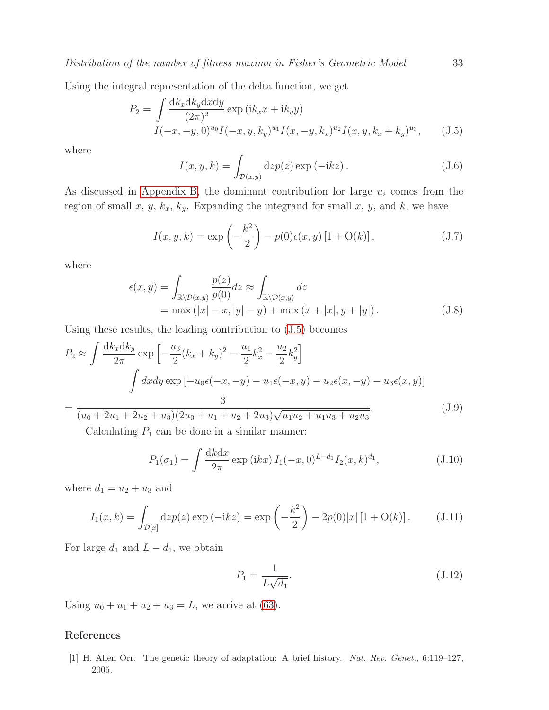Using the integral representation of the delta function, we get

<span id="page-32-1"></span>
$$
P_2 = \int \frac{dk_x dk_y dx dy}{(2\pi)^2} \exp\left(ik_x x + ik_y y\right)
$$
  

$$
I(-x, -y, 0)^{u_0} I(-x, y, k_y)^{u_1} I(x, -y, k_x)^{u_2} I(x, y, k_x + k_y)^{u_3}, \qquad (J.5)
$$

where

$$
I(x, y, k) = \int_{\mathcal{D}(x, y)} dz p(z) \exp(-ikz).
$$
 (J.6)

As discussed in [Appendix B,](#page-19-0) the dominant contribution for large  $u_i$  comes from the region of small x, y,  $k_x$ ,  $k_y$ . Expanding the integrand for small x, y, and k, we have

$$
I(x, y, k) = \exp\left(-\frac{k^2}{2}\right) - p(0)\epsilon(x, y)[1 + O(k)],
$$
\n(J.7)

where

$$
\epsilon(x,y) = \int_{\mathbb{R}\setminus\mathcal{D}(x,y)} \frac{p(z)}{p(0)} dz \approx \int_{\mathbb{R}\setminus\mathcal{D}(x,y)} dz
$$
  
= max (|x| - x, |y| - y) + max (x + |x|, y + |y|). (J.8)

Using these results, the leading contribution to [\(J.5\)](#page-32-1) becomes

$$
P_2 \approx \int \frac{dk_x dk_y}{2\pi} \exp\left[-\frac{u_3}{2}(k_x + k_y)^2 - \frac{u_1}{2}k_x^2 - \frac{u_2}{2}k_y^2\right]
$$

$$
\int dx dy \exp\left[-u_0\epsilon(-x, -y) - u_1\epsilon(-x, y) - u_2\epsilon(x, -y) - u_3\epsilon(x, y)\right]
$$

$$
= \frac{3}{\sqrt{(\epsilon - \epsilon)(2\epsilon - \epsilon)(2\epsilon - \epsilon)(2\epsilon - \epsilon)(2\epsilon - \epsilon)(2\epsilon - \epsilon)(2\epsilon - \epsilon)(2\epsilon - \epsilon)(2\epsilon - \epsilon)(2\epsilon - \epsilon)(2\epsilon - \epsilon)(2\epsilon - \epsilon)(2\epsilon - \epsilon)(2\epsilon - \epsilon)(2\epsilon - \epsilon)(2\epsilon - \epsilon)(2\epsilon - \epsilon)(2\epsilon - \epsilon)(2\epsilon - \epsilon)(2\epsilon - \epsilon)(2\epsilon - \epsilon)(2\epsilon - \epsilon)(2\epsilon - \epsilon)(2\epsilon - \epsilon)(2\epsilon - \epsilon)(2\epsilon - \epsilon)(2\epsilon - \epsilon)(2\epsilon - \epsilon)(2\epsilon - \epsilon)(2\epsilon - \epsilon)(2\epsilon - \epsilon)(2\epsilon - \epsilon)(2\epsilon - \epsilon)(2\epsilon - \epsilon)(2\epsilon - \epsilon)(2\epsilon - \epsilon)(2\epsilon - \epsilon)(2\epsilon - \epsilon)(2\epsilon - \epsilon)(2\epsilon - \epsilon)(2\epsilon - \epsilon)(2\epsilon - \epsilon)(2\epsilon - \epsilon)(2\epsilon - \epsilon)(2\epsilon - \epsilon)(2\epsilon - \epsilon)(2\epsilon - \epsilon)(2\epsilon - \epsilon)(2\epsilon - \epsilon)(2\epsilon - \epsilon)(2\epsilon - \epsilon)(2\epsilon - \epsilon)(2\epsilon - \epsilon)(2\epsilon - \epsilon)(2\epsilon - \epsilon)(2\epsilon - \epsilon)(2\epsilon - \epsilon)(2\epsilon - \epsilon)(2\epsilon - \epsilon)(2\epsilon - \epsilon)(2\epsilon - \epsilon)(2\epsilon - \epsilon)(2\epsilon - \epsilon)(2\epsilon - \epsilon)(2\epsilon - \epsilon)(2\epsilon - \epsilon)(2\epsilon - \epsilon)(2\epsilon - \epsilon)(2\epsilon - \epsilon)(2\epsilon - \epsilon)(2\epsilon - \epsilon)(2\epsilon - \epsilon)(2\epsilon - \epsilon)(2\epsilon - \epsilon)(2\epsilon - \epsilon)(2\epsilon - \epsilon)(2\epsilon - \epsilon)(2\epsilon - \epsilon)(2\epsilon - \epsilon)(2\epsilon - \epsilon)(2\epsilon - \epsilon)(2\epsilon - \epsilon)(2\epsilon - \epsilon)(2\epsilon - \epsilon)(2\epsilon - \epsilon)(2\epsilon - \epsilon)(2\epsilon - \epsilon)(2\epsilon -
$$

 $(u_0 + 2u_1 + 2u_2 + u_3)(2u_0 + u_1 + u_2 + 2u_3)\sqrt{u_1u_2 + u_1u_3 + u_2u_3}$ 

Calculating  $P_1$  can be done in a similar manner:

$$
P_1(\sigma_1) = \int \frac{dkdx}{2\pi} \exp(ikx) I_1(-x, 0)^{L-d_1} I_2(x, k)^{d_1}, \qquad (J.10)
$$

where  $d_1 = u_2 + u_3$  and

$$
I_1(x,k) = \int_{\mathcal{D}[x]} \mathrm{d}z p(z) \exp(-\mathrm{i}k z) = \exp\left(-\frac{k^2}{2}\right) - 2p(0)|x| \left[1 + \mathrm{O}(k)\right]. \tag{J.11}
$$

For large  $d_1$  and  $L - d_1$ , we obtain

$$
P_1 = \frac{1}{L\sqrt{d_1}}.\tag{J.12}
$$

Using  $u_0 + u_1 + u_2 + u_3 = L$ , we arrive at [\(63\)](#page-14-1).

## <span id="page-32-0"></span>References

[1] H. Allen Orr. The genetic theory of adaptation: A brief history. *Nat. Rev. Genet.*, 6:119–127, 2005.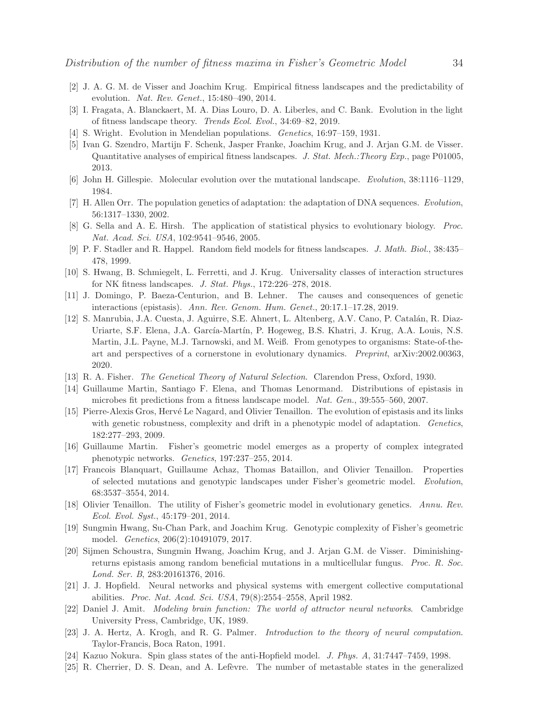- <span id="page-33-1"></span><span id="page-33-0"></span>[2] J. A. G. M. de Visser and Joachim Krug. Empirical fitness landscapes and the predictability of evolution. *Nat. Rev. Genet.*, 15:480–490, 2014.
- <span id="page-33-2"></span>[3] I. Fragata, A. Blanckaert, M. A. Dias Louro, D. A. Liberles, and C. Bank. Evolution in the light of fitness landscape theory. *Trends Ecol. Evol.*, 34:69–82, 2019.
- <span id="page-33-3"></span>[4] S. Wright. Evolution in Mendelian populations. *Genetics*, 16:97–159, 1931.
- [5] Ivan G. Szendro, Martijn F. Schenk, Jasper Franke, Joachim Krug, and J. Arjan G.M. de Visser. Quantitative analyses of empirical fitness landscapes. *J. Stat. Mech.:Theory Exp.*, page P01005, 2013.
- <span id="page-33-5"></span><span id="page-33-4"></span>[6] John H. Gillespie. Molecular evolution over the mutational landscape. *Evolution*, 38:1116–1129, 1984.
- <span id="page-33-6"></span>[7] H. Allen Orr. The population genetics of adaptation: the adaptation of DNA sequences. *Evolution*, 56:1317–1330, 2002.
- <span id="page-33-7"></span>[8] G. Sella and A. E. Hirsh. The application of statistical physics to evolutionary biology. *Proc. Nat. Acad. Sci. USA*, 102:9541–9546, 2005.
- <span id="page-33-8"></span>[9] P. F. Stadler and R. Happel. Random field models for fitness landscapes. *J. Math. Biol.*, 38:435– 478, 1999.
- <span id="page-33-9"></span>[10] S. Hwang, B. Schmiegelt, L. Ferretti, and J. Krug. Universality classes of interaction structures for NK fitness landscapes. *J. Stat. Phys.*, 172:226–278, 2018.
- [11] J. Domingo, P. Baeza-Centurion, and B. Lehner. The causes and consequences of genetic interactions (epistasis). *Ann. Rev. Genom. Hum. Genet.*, 20:17.1–17.28, 2019.
- <span id="page-33-10"></span>[12] S. Manrubia, J.A. Cuesta, J. Aguirre, S.E. Ahnert, L. Altenberg, A.V. Cano, P. Catal´an, R. Diaz-Uriarte, S.F. Elena, J.A. García-Martín, P. Hogeweg, B.S. Khatri, J. Krug, A.A. Louis, N.S. Martin, J.L. Payne, M.J. Tarnowski, and M. Weiß. From genotypes to organisms: State-of-theart and perspectives of a cornerstone in evolutionary dynamics. *Preprint*, arXiv:2002.00363, 2020.
- <span id="page-33-12"></span><span id="page-33-11"></span>[13] R. A. Fisher. *The Genetical Theory of Natural Selection*. Clarendon Press, Oxford, 1930.
- <span id="page-33-13"></span>[14] Guillaume Martin, Santiago F. Elena, and Thomas Lenormand. Distributions of epistasis in microbes fit predictions from a fitness landscape model. *Nat. Gen.*, 39:555–560, 2007.
- [15] Pierre-Alexis Gros, Hervé Le Nagard, and Olivier Tenaillon. The evolution of epistasis and its links with genetic robustness, complexity and drift in a phenotypic model of adaptation. *Genetics*, 182:277–293, 2009.
- <span id="page-33-15"></span><span id="page-33-14"></span>[16] Guillaume Martin. Fisher's geometric model emerges as a property of complex integrated phenotypic networks. *Genetics*, 197:237–255, 2014.
- [17] Francois Blanquart, Guillaume Achaz, Thomas Bataillon, and Olivier Tenaillon. Properties of selected mutations and genotypic landscapes under Fisher's geometric model. *Evolution*, 68:3537–3554, 2014.
- <span id="page-33-16"></span>[18] Olivier Tenaillon. The utility of Fisher's geometric model in evolutionary genetics. *Annu. Rev. Ecol. Evol. Syst.*, 45:179–201, 2014.
- <span id="page-33-17"></span>[19] Sungmin Hwang, Su-Chan Park, and Joachim Krug. Genotypic complexity of Fisher's geometric model. *Genetics*, 206(2):10491079, 2017.
- <span id="page-33-18"></span>[20] Sijmen Schoustra, Sungmin Hwang, Joachim Krug, and J. Arjan G.M. de Visser. Diminishingreturns epistasis among random beneficial mutations in a multicellular fungus. *Proc. R. Soc. Lond. Ser. B*, 283:20161376, 2016.
- <span id="page-33-19"></span>[21] J. J. Hopfield. Neural networks and physical systems with emergent collective computational abilities. *Proc. Nat. Acad. Sci. USA*, 79(8):2554–2558, April 1982.
- <span id="page-33-20"></span>[22] Daniel J. Amit. *Modeling brain function: The world of attractor neural networks*. Cambridge University Press, Cambridge, UK, 1989.
- <span id="page-33-21"></span>[23] J. A. Hertz, A. Krogh, and R. G. Palmer. *Introduction to the theory of neural computation*. Taylor-Francis, Boca Raton, 1991.
- <span id="page-33-23"></span><span id="page-33-22"></span>[24] Kazuo Nokura. Spin glass states of the anti-Hopfield model. *J. Phys. A*, 31:7447–7459, 1998.
- [25] R. Cherrier, D. S. Dean, and A. Lefèvre. The number of metastable states in the generalized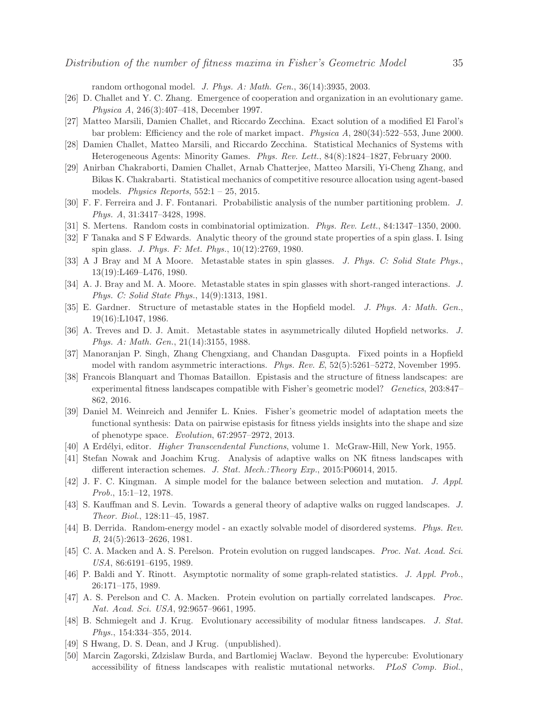random orthogonal model. *J. Phys. A: Math. Gen.*, 36(14):3935, 2003.

- <span id="page-34-1"></span><span id="page-34-0"></span>[26] D. Challet and Y. C. Zhang. Emergence of cooperation and organization in an evolutionary game. *Physica A*, 246(3):407–418, December 1997.
- <span id="page-34-2"></span>[27] Matteo Marsili, Damien Challet, and Riccardo Zecchina. Exact solution of a modified El Farol's bar problem: Efficiency and the role of market impact. *Physica A*, 280(34):522–553, June 2000.
- <span id="page-34-3"></span>[28] Damien Challet, Matteo Marsili, and Riccardo Zecchina. Statistical Mechanics of Systems with Heterogeneous Agents: Minority Games. *Phys. Rev. Lett.*, 84(8):1824–1827, February 2000.
- [29] Anirban Chakraborti, Damien Challet, Arnab Chatterjee, Matteo Marsili, Yi-Cheng Zhang, and Bikas K. Chakrabarti. Statistical mechanics of competitive resource allocation using agent-based models. *Physics Reports*, 552:1 – 25, 2015.
- <span id="page-34-5"></span><span id="page-34-4"></span>[30] F. F. Ferreira and J. F. Fontanari. Probabilistic analysis of the number partitioning problem. *J. Phys. A*, 31:3417–3428, 1998.
- <span id="page-34-6"></span>[31] S. Mertens. Random costs in combinatorial optimization. *Phys. Rev. Lett.*, 84:1347–1350, 2000.
- <span id="page-34-7"></span>[32] F Tanaka and S F Edwards. Analytic theory of the ground state properties of a spin glass. I. Ising spin glass. *J. Phys. F: Met. Phys.*, 10(12):2769, 1980.
- <span id="page-34-8"></span>[33] A J Bray and M A Moore. Metastable states in spin glasses. *J. Phys. C: Solid State Phys.*, 13(19):L469–L476, 1980.
- <span id="page-34-9"></span>[34] A. J. Bray and M. A. Moore. Metastable states in spin glasses with short-ranged interactions. *J. Phys. C: Solid State Phys.*, 14(9):1313, 1981.
- [35] E. Gardner. Structure of metastable states in the Hopfield model. *J. Phys. A: Math. Gen.*, 19(16):L1047, 1986.
- <span id="page-34-10"></span>[36] A. Treves and D. J. Amit. Metastable states in asymmetrically diluted Hopfield networks. *J. Phys. A: Math. Gen.*, 21(14):3155, 1988.
- <span id="page-34-11"></span>[37] Manoranjan P. Singh, Zhang Chengxiang, and Chandan Dasgupta. Fixed points in a Hopfield model with random asymmetric interactions. *Phys. Rev. E*, 52(5):5261–5272, November 1995.
- <span id="page-34-12"></span>[38] Francois Blanquart and Thomas Bataillon. Epistasis and the structure of fitness landscapes: are experimental fitness landscapes compatible with Fisher's geometric model? *Genetics*, 203:847– 862, 2016.
- <span id="page-34-13"></span>[39] Daniel M. Weinreich and Jennifer L. Knies. Fisher's geometric model of adaptation meets the functional synthesis: Data on pairwise epistasis for fitness yields insights into the shape and size of phenotype space. *Evolution*, 67:2957–2972, 2013.
- <span id="page-34-15"></span><span id="page-34-14"></span>[40] A Erd´elyi, editor. *Higher Transcendental Functions*, volume 1. McGraw-Hill, New York, 1955.
- <span id="page-34-16"></span>[41] Stefan Nowak and Joachim Krug. Analysis of adaptive walks on NK fitness landscapes with different interaction schemes. *J. Stat. Mech.:Theory Exp.*, 2015:P06014, 2015.
- <span id="page-34-17"></span>[42] J. F. C. Kingman. A simple model for the balance between selection and mutation. *J. Appl. Prob.*, 15:1–12, 1978.
- [43] S. Kauffman and S. Levin. Towards a general theory of adaptive walks on rugged landscapes. *J. Theor. Biol.*, 128:11–45, 1987.
- <span id="page-34-18"></span>[44] B. Derrida. Random-energy model - an exactly solvable model of disordered systems. *Phys. Rev. B*, 24(5):2613–2626, 1981.
- <span id="page-34-19"></span>[45] C. A. Macken and A. S. Perelson. Protein evolution on rugged landscapes. *Proc. Nat. Acad. Sci. USA*, 86:6191–6195, 1989.
- <span id="page-34-20"></span>[46] P. Baldi and Y. Rinott. Asymptotic normality of some graph-related statistics. *J. Appl. Prob.*, 26:171–175, 1989.
- <span id="page-34-21"></span>[47] A. S. Perelson and C. A. Macken. Protein evolution on partially correlated landscapes. *Proc. Nat. Acad. Sci. USA*, 92:9657–9661, 1995.
- <span id="page-34-22"></span>[48] B. Schmiegelt and J. Krug. Evolutionary accessibility of modular fitness landscapes. *J. Stat. Phys.*, 154:334–355, 2014.
- <span id="page-34-24"></span><span id="page-34-23"></span>[49] S Hwang, D. S. Dean, and J Krug. (unpublished).
- [50] Marcin Zagorski, Zdzislaw Burda, and Bartlomiej Waclaw. Beyond the hypercube: Evolutionary accessibility of fitness landscapes with realistic mutational networks. *PLoS Comp. Biol.*,